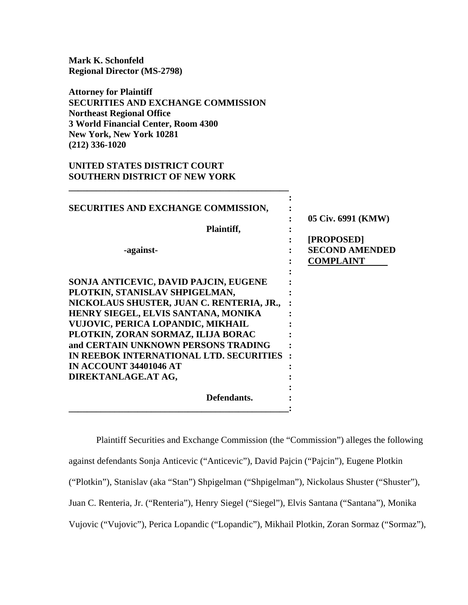**Mark K. Schonfeld Regional Director (MS-2798)** 

**Attorney for Plaintiff SECURITIES AND EXCHANGE COMMISSION Northeast Regional Office 3 World Financial Center, Room 4300 New York, New York 10281 (212) 336-1020**

**\_\_\_\_\_\_\_\_\_\_\_\_\_\_\_\_\_\_\_\_\_\_\_\_\_\_\_\_\_\_\_\_\_\_\_\_\_\_\_\_\_\_\_\_\_\_\_\_** 

## **UNITED STATES DISTRICT COURT SOUTHERN DISTRICT OF NEW YORK**

| SECURITIES AND EXCHANGE COMMISSION,<br>Plaintiff,<br>-against-                                                                                                                                                                                                                                                                                                                   | 05 Civ. 6991 (KMW)<br>[PROPOSED]<br><b>SECOND AMENDED</b><br><b>COMPLAINT</b> |
|----------------------------------------------------------------------------------------------------------------------------------------------------------------------------------------------------------------------------------------------------------------------------------------------------------------------------------------------------------------------------------|-------------------------------------------------------------------------------|
| SONJA ANTICEVIC, DAVID PAJCIN, EUGENE<br>PLOTKIN, STANISLAV SHPIGELMAN,<br>NICKOLAUS SHUSTER, JUAN C. RENTERIA, JR.,<br>HENRY SIEGEL, ELVIS SANTANA, MONIKA<br>VUJOVIC, PERICA LOPANDIC, MIKHAIL<br>PLOTKIN, ZORAN SORMAZ, ILIJA BORAC<br>and CERTAIN UNKNOWN PERSONS TRADING<br>IN REEBOK INTERNATIONAL LTD. SECURITIES<br><b>IN ACCOUNT 34401046 AT</b><br>DIREKTANLAGE.AT AG, |                                                                               |
| Defendants.                                                                                                                                                                                                                                                                                                                                                                      |                                                                               |

Plaintiff Securities and Exchange Commission (the "Commission") alleges the following against defendants Sonja Anticevic ("Anticevic"), David Pajcin ("Pajcin"), Eugene Plotkin ("Plotkin"), Stanislav (aka "Stan") Shpigelman ("Shpigelman"), Nickolaus Shuster ("Shuster"), Juan C. Renteria, Jr. ("Renteria"), Henry Siegel ("Siegel"), Elvis Santana ("Santana"), Monika Vujovic ("Vujovic"), Perica Lopandic ("Lopandic"), Mikhail Plotkin, Zoran Sormaz ("Sormaz"),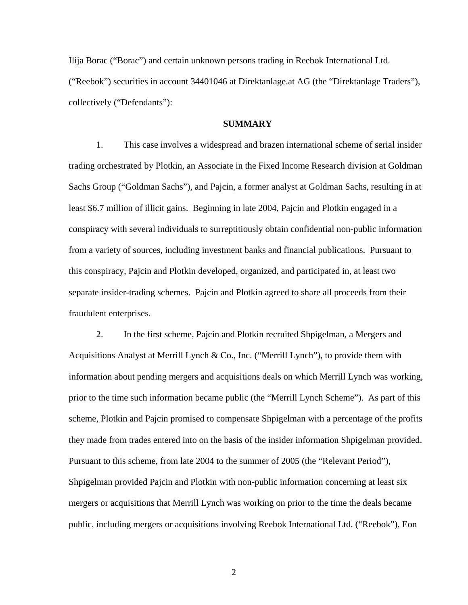Ilija Borac ("Borac") and certain unknown persons trading in Reebok International Ltd. ("Reebok") securities in account 34401046 at Direktanlage.at AG (the "Direktanlage Traders"), collectively ("Defendants"):

## **SUMMARY**

1. This case involves a widespread and brazen international scheme of serial insider trading orchestrated by Plotkin, an Associate in the Fixed Income Research division at Goldman Sachs Group ("Goldman Sachs"), and Pajcin, a former analyst at Goldman Sachs, resulting in at least \$6.7 million of illicit gains. Beginning in late 2004, Pajcin and Plotkin engaged in a conspiracy with several individuals to surreptitiously obtain confidential non-public information from a variety of sources, including investment banks and financial publications. Pursuant to this conspiracy, Pajcin and Plotkin developed, organized, and participated in, at least two separate insider-trading schemes. Pajcin and Plotkin agreed to share all proceeds from their fraudulent enterprises.

2. In the first scheme, Pajcin and Plotkin recruited Shpigelman, a Mergers and Acquisitions Analyst at Merrill Lynch & Co., Inc. ("Merrill Lynch"), to provide them with information about pending mergers and acquisitions deals on which Merrill Lynch was working, prior to the time such information became public (the "Merrill Lynch Scheme"). As part of this scheme, Plotkin and Pajcin promised to compensate Shpigelman with a percentage of the profits they made from trades entered into on the basis of the insider information Shpigelman provided. Pursuant to this scheme, from late 2004 to the summer of 2005 (the "Relevant Period"), Shpigelman provided Pajcin and Plotkin with non-public information concerning at least six mergers or acquisitions that Merrill Lynch was working on prior to the time the deals became public, including mergers or acquisitions involving Reebok International Ltd. ("Reebok"), Eon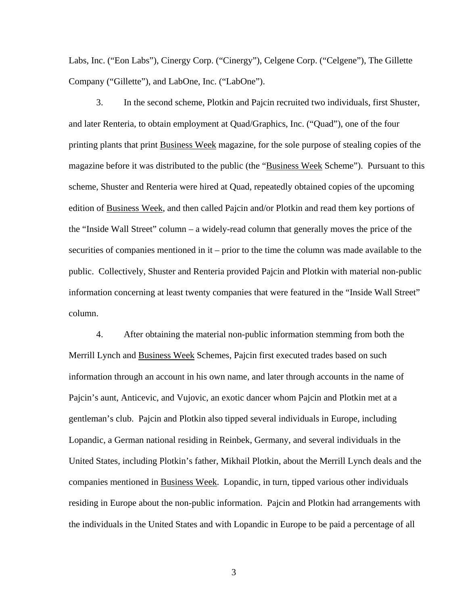Labs, Inc. ("Eon Labs"), Cinergy Corp. ("Cinergy"), Celgene Corp. ("Celgene"), The Gillette Company ("Gillette"), and LabOne, Inc. ("LabOne").

3. In the second scheme, Plotkin and Pajcin recruited two individuals, first Shuster, and later Renteria, to obtain employment at Quad/Graphics, Inc. ("Quad"), one of the four printing plants that print Business Week magazine, for the sole purpose of stealing copies of the magazine before it was distributed to the public (the "Business Week Scheme"). Pursuant to this scheme, Shuster and Renteria were hired at Quad, repeatedly obtained copies of the upcoming edition of Business Week, and then called Pajcin and/or Plotkin and read them key portions of the "Inside Wall Street" column – a widely-read column that generally moves the price of the securities of companies mentioned in it – prior to the time the column was made available to the public. Collectively, Shuster and Renteria provided Pajcin and Plotkin with material non-public information concerning at least twenty companies that were featured in the "Inside Wall Street" column.

4. After obtaining the material non-public information stemming from both the Merrill Lynch and Business Week Schemes, Pajcin first executed trades based on such information through an account in his own name, and later through accounts in the name of Pajcin's aunt, Anticevic, and Vujovic, an exotic dancer whom Pajcin and Plotkin met at a gentleman's club. Pajcin and Plotkin also tipped several individuals in Europe, including Lopandic, a German national residing in Reinbek, Germany, and several individuals in the United States, including Plotkin's father, Mikhail Plotkin, about the Merrill Lynch deals and the companies mentioned in Business Week. Lopandic, in turn, tipped various other individuals residing in Europe about the non-public information. Pajcin and Plotkin had arrangements with the individuals in the United States and with Lopandic in Europe to be paid a percentage of all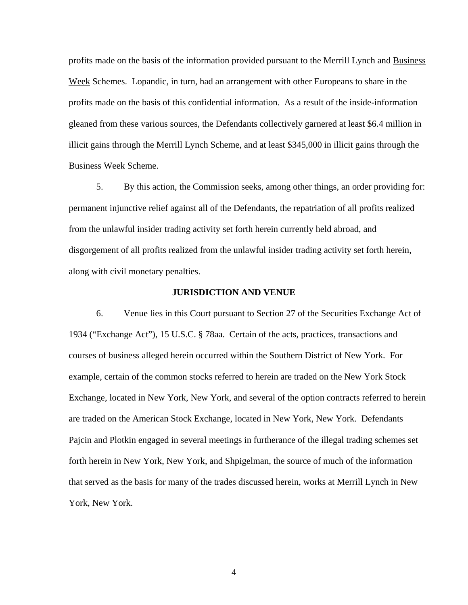profits made on the basis of the information provided pursuant to the Merrill Lynch and Business Week Schemes. Lopandic, in turn, had an arrangement with other Europeans to share in the profits made on the basis of this confidential information. As a result of the inside-information gleaned from these various sources, the Defendants collectively garnered at least \$6.4 million in illicit gains through the Merrill Lynch Scheme, and at least \$345,000 in illicit gains through the Business Week Scheme.

5. By this action, the Commission seeks, among other things, an order providing for: permanent injunctive relief against all of the Defendants, the repatriation of all profits realized from the unlawful insider trading activity set forth herein currently held abroad, and disgorgement of all profits realized from the unlawful insider trading activity set forth herein, along with civil monetary penalties.

## **JURISDICTION AND VENUE**

6. Venue lies in this Court pursuant to Section 27 of the Securities Exchange Act of 1934 ("Exchange Act"), 15 U.S.C. § 78aa. Certain of the acts, practices, transactions and courses of business alleged herein occurred within the Southern District of New York. For example, certain of the common stocks referred to herein are traded on the New York Stock Exchange, located in New York, New York, and several of the option contracts referred to herein are traded on the American Stock Exchange, located in New York, New York. Defendants Pajcin and Plotkin engaged in several meetings in furtherance of the illegal trading schemes set forth herein in New York, New York, and Shpigelman, the source of much of the information that served as the basis for many of the trades discussed herein, works at Merrill Lynch in New York, New York.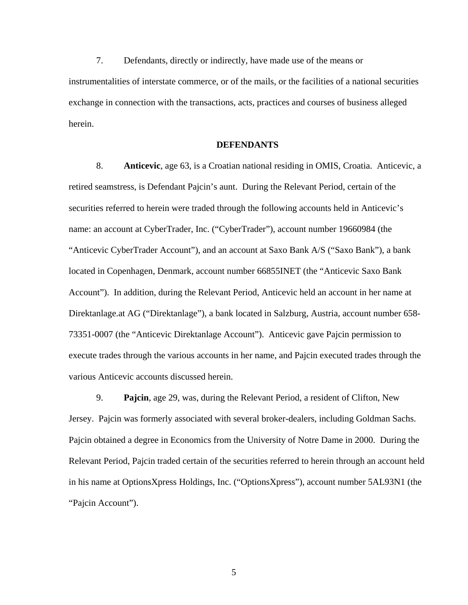7. Defendants, directly or indirectly, have made use of the means or instrumentalities of interstate commerce, or of the mails, or the facilities of a national securities exchange in connection with the transactions, acts, practices and courses of business alleged herein.

### **DEFENDANTS**

8. **Anticevic**, age 63, is a Croatian national residing in OMIS, Croatia. Anticevic, a retired seamstress, is Defendant Pajcin's aunt. During the Relevant Period, certain of the securities referred to herein were traded through the following accounts held in Anticevic's name: an account at CyberTrader, Inc. ("CyberTrader"), account number 19660984 (the "Anticevic CyberTrader Account"), and an account at Saxo Bank A/S ("Saxo Bank"), a bank located in Copenhagen, Denmark, account number 66855INET (the "Anticevic Saxo Bank Account"). In addition, during the Relevant Period, Anticevic held an account in her name at Direktanlage.at AG ("Direktanlage"), a bank located in Salzburg, Austria, account number 658- 73351-0007 (the "Anticevic Direktanlage Account"). Anticevic gave Pajcin permission to execute trades through the various accounts in her name, and Pajcin executed trades through the various Anticevic accounts discussed herein.

9. **Pajcin**, age 29, was, during the Relevant Period, a resident of Clifton, New Jersey. Pajcin was formerly associated with several broker-dealers, including Goldman Sachs. Pajcin obtained a degree in Economics from the University of Notre Dame in 2000. During the Relevant Period, Pajcin traded certain of the securities referred to herein through an account held in his name at OptionsXpress Holdings, Inc. ("OptionsXpress"), account number 5AL93N1 (the "Pajcin Account").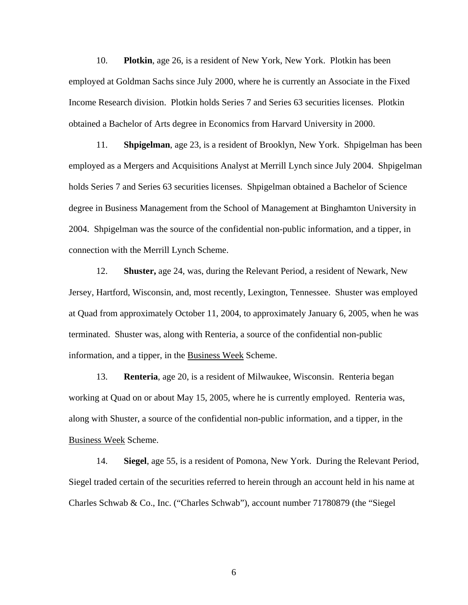10. **Plotkin**, age 26, is a resident of New York, New York. Plotkin has been employed at Goldman Sachs since July 2000, where he is currently an Associate in the Fixed Income Research division. Plotkin holds Series 7 and Series 63 securities licenses. Plotkin obtained a Bachelor of Arts degree in Economics from Harvard University in 2000.

 11. **Shpigelman**, age 23, is a resident of Brooklyn, New York. Shpigelman has been employed as a Mergers and Acquisitions Analyst at Merrill Lynch since July 2004. Shpigelman holds Series 7 and Series 63 securities licenses. Shpigelman obtained a Bachelor of Science degree in Business Management from the School of Management at Binghamton University in 2004. Shpigelman was the source of the confidential non-public information, and a tipper, in connection with the Merrill Lynch Scheme.

 12. **Shuster,** age 24, was, during the Relevant Period, a resident of Newark, New Jersey, Hartford, Wisconsin, and, most recently, Lexington, Tennessee. Shuster was employed at Quad from approximately October 11, 2004, to approximately January 6, 2005, when he was terminated. Shuster was, along with Renteria, a source of the confidential non-public information, and a tipper, in the Business Week Scheme.

 13. **Renteria**, age 20, is a resident of Milwaukee, Wisconsin. Renteria began working at Quad on or about May 15, 2005, where he is currently employed. Renteria was, along with Shuster, a source of the confidential non-public information, and a tipper, in the Business Week Scheme.

14. **Siegel**, age 55, is a resident of Pomona, New York. During the Relevant Period, Siegel traded certain of the securities referred to herein through an account held in his name at Charles Schwab & Co., Inc. ("Charles Schwab"), account number 71780879 (the "Siegel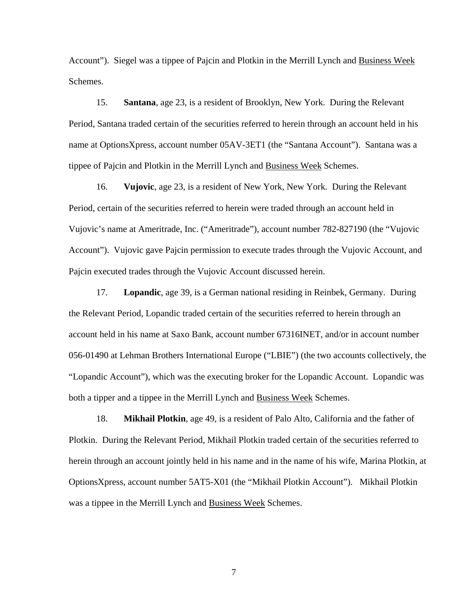Account"). Siegel was a tippee of Pajcin and Plotkin in the Merrill Lynch and Business Week Schemes.

15. **Santana**, age 23, is a resident of Brooklyn, New York. During the Relevant Period, Santana traded certain of the securities referred to herein through an account held in his name at OptionsXpress, account number 05AV-3ET1 (the "Santana Account"). Santana was a tippee of Pajcin and Plotkin in the Merrill Lynch and Business Week Schemes.

16. **Vujovic**, age 23, is a resident of New York, New York. During the Relevant Period, certain of the securities referred to herein were traded through an account held in Vujovic's name at Ameritrade, Inc. ("Ameritrade"), account number 782-827190 (the "Vujovic Account"). Vujovic gave Pajcin permission to execute trades through the Vujovic Account, and Pajcin executed trades through the Vujovic Account discussed herein.

17. **Lopandic**, age 39, is a German national residing in Reinbek, Germany. During the Relevant Period, Lopandic traded certain of the securities referred to herein through an account held in his name at Saxo Bank, account number 67316INET, and/or in account number 056-01490 at Lehman Brothers International Europe ("LBIE") (the two accounts collectively, the "Lopandic Account"), which was the executing broker for the Lopandic Account. Lopandic was both a tipper and a tippee in the Merrill Lynch and Business Week Schemes.

18. **Mikhail Plotkin**, age 49, is a resident of Palo Alto, California and the father of Plotkin. During the Relevant Period, Mikhail Plotkin traded certain of the securities referred to herein through an account jointly held in his name and in the name of his wife, Marina Plotkin, at OptionsXpress, account number 5AT5-X01 (the "Mikhail Plotkin Account"). Mikhail Plotkin was a tippee in the Merrill Lynch and Business Week Schemes.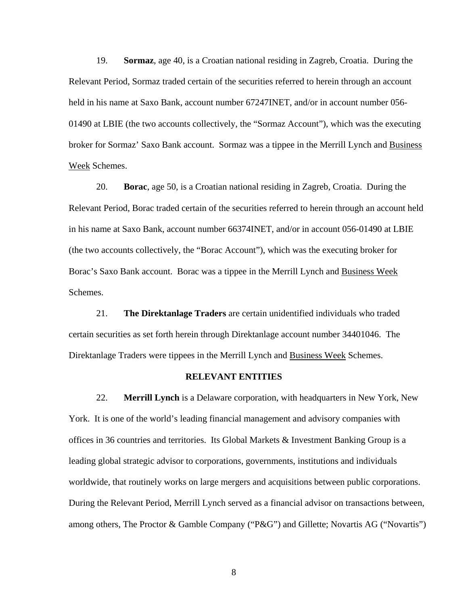19. **Sormaz**, age 40, is a Croatian national residing in Zagreb, Croatia. During the Relevant Period, Sormaz traded certain of the securities referred to herein through an account held in his name at Saxo Bank, account number 67247INET, and/or in account number 056- 01490 at LBIE (the two accounts collectively, the "Sormaz Account"), which was the executing broker for Sormaz' Saxo Bank account. Sormaz was a tippee in the Merrill Lynch and Business Week Schemes.

20. **Borac**, age 50, is a Croatian national residing in Zagreb, Croatia. During the Relevant Period, Borac traded certain of the securities referred to herein through an account held in his name at Saxo Bank, account number 66374INET, and/or in account 056-01490 at LBIE (the two accounts collectively, the "Borac Account"), which was the executing broker for Borac's Saxo Bank account. Borac was a tippee in the Merrill Lynch and Business Week Schemes.

21. **The Direktanlage Traders** are certain unidentified individuals who traded certain securities as set forth herein through Direktanlage account number 34401046. The Direktanlage Traders were tippees in the Merrill Lynch and Business Week Schemes.

#### **RELEVANT ENTITIES**

22. **Merrill Lynch** is a Delaware corporation, with headquarters in New York, New York. It is one of the world's leading financial management and advisory companies with offices in 36 countries and territories. Its Global Markets & Investment Banking Group is a leading global strategic advisor to corporations, governments, institutions and individuals worldwide, that routinely works on large mergers and acquisitions between public corporations. During the Relevant Period, Merrill Lynch served as a financial advisor on transactions between, among others, The Proctor & Gamble Company ("P&G") and Gillette; Novartis AG ("Novartis")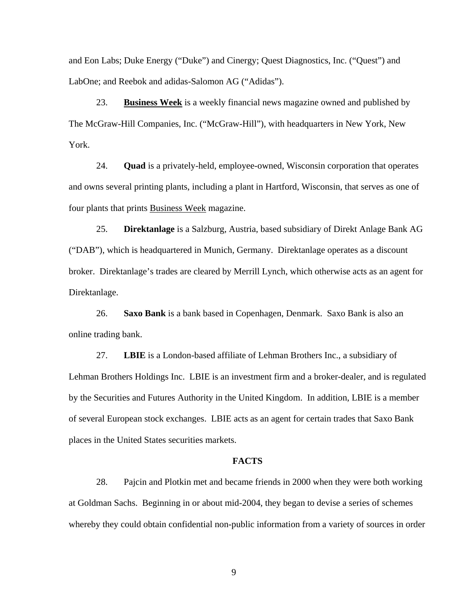and Eon Labs; Duke Energy ("Duke") and Cinergy; Quest Diagnostics, Inc. ("Quest") and LabOne; and Reebok and adidas-Salomon AG ("Adidas").

23. **Business Week** is a weekly financial news magazine owned and published by The McGraw-Hill Companies, Inc. ("McGraw-Hill"), with headquarters in New York, New York.

24. **Quad** is a privately-held, employee-owned, Wisconsin corporation that operates and owns several printing plants, including a plant in Hartford, Wisconsin, that serves as one of four plants that prints Business Week magazine.

25. **Direktanlage** is a Salzburg, Austria, based subsidiary of Direkt Anlage Bank AG ("DAB"), which is headquartered in Munich, Germany. Direktanlage operates as a discount broker. Direktanlage's trades are cleared by Merrill Lynch, which otherwise acts as an agent for Direktanlage.

26. **Saxo Bank** is a bank based in Copenhagen, Denmark. Saxo Bank is also an online trading bank.

27. **LBIE** is a London-based affiliate of Lehman Brothers Inc., a subsidiary of Lehman Brothers Holdings Inc. LBIE is an investment firm and a broker-dealer, and is regulated by the Securities and Futures Authority in the United Kingdom. In addition, LBIE is a member of several European stock exchanges. LBIE acts as an agent for certain trades that Saxo Bank places in the United States securities markets.

### **FACTS**

28. Pajcin and Plotkin met and became friends in 2000 when they were both working at Goldman Sachs. Beginning in or about mid-2004, they began to devise a series of schemes whereby they could obtain confidential non-public information from a variety of sources in order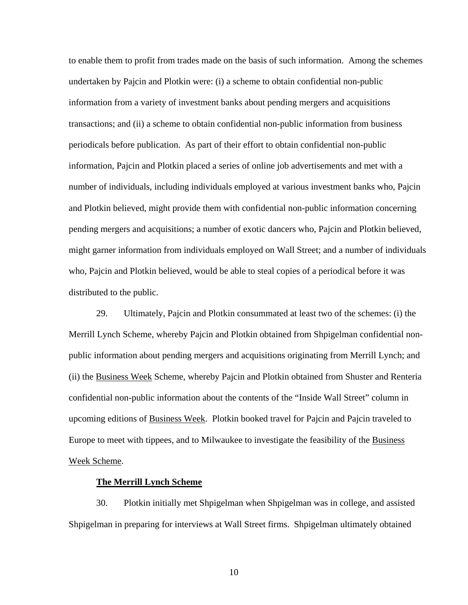to enable them to profit from trades made on the basis of such information. Among the schemes undertaken by Pajcin and Plotkin were: (i) a scheme to obtain confidential non-public information from a variety of investment banks about pending mergers and acquisitions transactions; and (ii) a scheme to obtain confidential non-public information from business periodicals before publication. As part of their effort to obtain confidential non-public information, Pajcin and Plotkin placed a series of online job advertisements and met with a number of individuals, including individuals employed at various investment banks who, Pajcin and Plotkin believed, might provide them with confidential non-public information concerning pending mergers and acquisitions; a number of exotic dancers who, Pajcin and Plotkin believed, might garner information from individuals employed on Wall Street; and a number of individuals who, Pajcin and Plotkin believed, would be able to steal copies of a periodical before it was distributed to the public.

29. Ultimately, Pajcin and Plotkin consummated at least two of the schemes: (i) the Merrill Lynch Scheme, whereby Pajcin and Plotkin obtained from Shpigelman confidential nonpublic information about pending mergers and acquisitions originating from Merrill Lynch; and (ii) the Business Week Scheme, whereby Pajcin and Plotkin obtained from Shuster and Renteria confidential non-public information about the contents of the "Inside Wall Street" column in upcoming editions of Business Week. Plotkin booked travel for Pajcin and Pajcin traveled to Europe to meet with tippees, and to Milwaukee to investigate the feasibility of the Business Week Scheme.

### **The Merrill Lynch Scheme**

30. Plotkin initially met Shpigelman when Shpigelman was in college, and assisted Shpigelman in preparing for interviews at Wall Street firms. Shpigelman ultimately obtained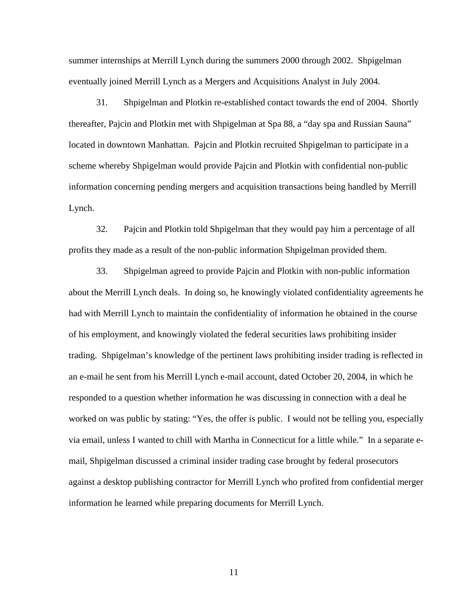summer internships at Merrill Lynch during the summers 2000 through 2002. Shpigelman eventually joined Merrill Lynch as a Mergers and Acquisitions Analyst in July 2004.

31. Shpigelman and Plotkin re-established contact towards the end of 2004. Shortly thereafter, Pajcin and Plotkin met with Shpigelman at Spa 88, a "day spa and Russian Sauna" located in downtown Manhattan. Pajcin and Plotkin recruited Shpigelman to participate in a scheme whereby Shpigelman would provide Pajcin and Plotkin with confidential non-public information concerning pending mergers and acquisition transactions being handled by Merrill Lynch.

32. Pajcin and Plotkin told Shpigelman that they would pay him a percentage of all profits they made as a result of the non-public information Shpigelman provided them.

33. Shpigelman agreed to provide Pajcin and Plotkin with non-public information about the Merrill Lynch deals. In doing so, he knowingly violated confidentiality agreements he had with Merrill Lynch to maintain the confidentiality of information he obtained in the course of his employment, and knowingly violated the federal securities laws prohibiting insider trading. Shpigelman's knowledge of the pertinent laws prohibiting insider trading is reflected in an e-mail he sent from his Merrill Lynch e-mail account, dated October 20, 2004, in which he responded to a question whether information he was discussing in connection with a deal he worked on was public by stating: "Yes, the offer is public. I would not be telling you, especially via email, unless I wanted to chill with Martha in Connecticut for a little while." In a separate email, Shpigelman discussed a criminal insider trading case brought by federal prosecutors against a desktop publishing contractor for Merrill Lynch who profited from confidential merger information he learned while preparing documents for Merrill Lynch.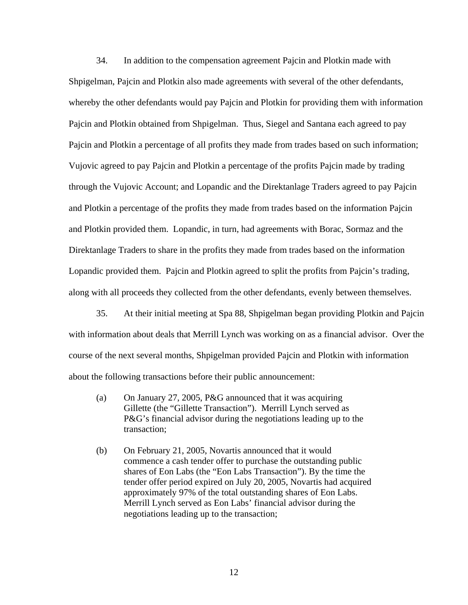34. In addition to the compensation agreement Pajcin and Plotkin made with Shpigelman, Pajcin and Plotkin also made agreements with several of the other defendants, whereby the other defendants would pay Pajcin and Plotkin for providing them with information Pajcin and Plotkin obtained from Shpigelman. Thus, Siegel and Santana each agreed to pay Pajcin and Plotkin a percentage of all profits they made from trades based on such information; Vujovic agreed to pay Pajcin and Plotkin a percentage of the profits Pajcin made by trading through the Vujovic Account; and Lopandic and the Direktanlage Traders agreed to pay Pajcin and Plotkin a percentage of the profits they made from trades based on the information Pajcin and Plotkin provided them. Lopandic, in turn, had agreements with Borac, Sormaz and the Direktanlage Traders to share in the profits they made from trades based on the information Lopandic provided them. Pajcin and Plotkin agreed to split the profits from Pajcin's trading, along with all proceeds they collected from the other defendants, evenly between themselves.

35. At their initial meeting at Spa 88, Shpigelman began providing Plotkin and Pajcin with information about deals that Merrill Lynch was working on as a financial advisor. Over the course of the next several months, Shpigelman provided Pajcin and Plotkin with information about the following transactions before their public announcement:

- (a) On January 27, 2005, P&G announced that it was acquiring Gillette (the "Gillette Transaction"). Merrill Lynch served as P&G's financial advisor during the negotiations leading up to the transaction;
- (b) On February 21, 2005, Novartis announced that it would commence a cash tender offer to purchase the outstanding public shares of Eon Labs (the "Eon Labs Transaction"). By the time the tender offer period expired on July 20, 2005, Novartis had acquired approximately 97% of the total outstanding shares of Eon Labs. Merrill Lynch served as Eon Labs' financial advisor during the negotiations leading up to the transaction;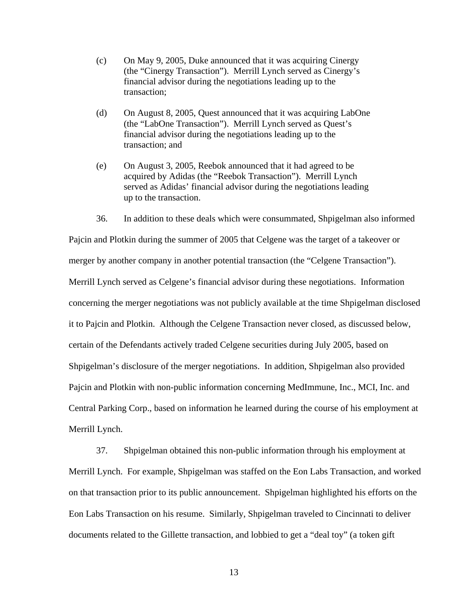- (c) On May 9, 2005, Duke announced that it was acquiring Cinergy (the "Cinergy Transaction"). Merrill Lynch served as Cinergy's financial advisor during the negotiations leading up to the transaction;
- (d) On August 8, 2005, Quest announced that it was acquiring LabOne (the "LabOne Transaction"). Merrill Lynch served as Quest's financial advisor during the negotiations leading up to the transaction; and
- (e) On August 3, 2005, Reebok announced that it had agreed to be acquired by Adidas (the "Reebok Transaction"). Merrill Lynch served as Adidas' financial advisor during the negotiations leading up to the transaction.

36. In addition to these deals which were consummated, Shpigelman also informed

Pajcin and Plotkin during the summer of 2005 that Celgene was the target of a takeover or merger by another company in another potential transaction (the "Celgene Transaction"). Merrill Lynch served as Celgene's financial advisor during these negotiations. Information concerning the merger negotiations was not publicly available at the time Shpigelman disclosed it to Pajcin and Plotkin. Although the Celgene Transaction never closed, as discussed below, certain of the Defendants actively traded Celgene securities during July 2005, based on Shpigelman's disclosure of the merger negotiations. In addition, Shpigelman also provided Pajcin and Plotkin with non-public information concerning MedImmune, Inc., MCI, Inc. and Central Parking Corp., based on information he learned during the course of his employment at Merrill Lynch.

37. Shpigelman obtained this non-public information through his employment at Merrill Lynch. For example, Shpigelman was staffed on the Eon Labs Transaction, and worked on that transaction prior to its public announcement. Shpigelman highlighted his efforts on the Eon Labs Transaction on his resume. Similarly, Shpigelman traveled to Cincinnati to deliver documents related to the Gillette transaction, and lobbied to get a "deal toy" (a token gift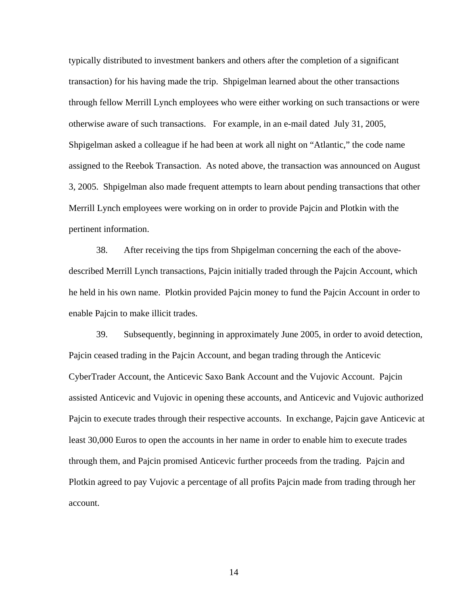typically distributed to investment bankers and others after the completion of a significant transaction) for his having made the trip. Shpigelman learned about the other transactions through fellow Merrill Lynch employees who were either working on such transactions or were otherwise aware of such transactions. For example, in an e-mail dated July 31, 2005, Shpigelman asked a colleague if he had been at work all night on "Atlantic," the code name assigned to the Reebok Transaction. As noted above, the transaction was announced on August 3, 2005. Shpigelman also made frequent attempts to learn about pending transactions that other Merrill Lynch employees were working on in order to provide Pajcin and Plotkin with the pertinent information.

38. After receiving the tips from Shpigelman concerning the each of the abovedescribed Merrill Lynch transactions, Pajcin initially traded through the Pajcin Account, which he held in his own name. Plotkin provided Pajcin money to fund the Pajcin Account in order to enable Pajcin to make illicit trades.

39. Subsequently, beginning in approximately June 2005, in order to avoid detection, Pajcin ceased trading in the Pajcin Account, and began trading through the Anticevic CyberTrader Account, the Anticevic Saxo Bank Account and the Vujovic Account. Pajcin assisted Anticevic and Vujovic in opening these accounts, and Anticevic and Vujovic authorized Pajcin to execute trades through their respective accounts. In exchange, Pajcin gave Anticevic at least 30,000 Euros to open the accounts in her name in order to enable him to execute trades through them, and Pajcin promised Anticevic further proceeds from the trading. Pajcin and Plotkin agreed to pay Vujovic a percentage of all profits Pajcin made from trading through her account.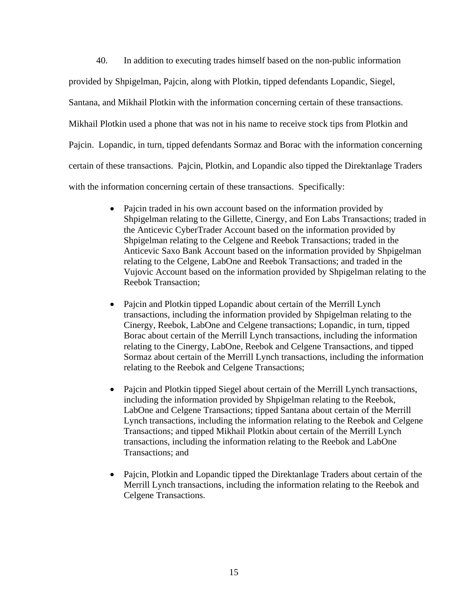40. In addition to executing trades himself based on the non-public information provided by Shpigelman, Pajcin, along with Plotkin, tipped defendants Lopandic, Siegel, Santana, and Mikhail Plotkin with the information concerning certain of these transactions. Mikhail Plotkin used a phone that was not in his name to receive stock tips from Plotkin and Pajcin. Lopandic, in turn, tipped defendants Sormaz and Borac with the information concerning certain of these transactions. Pajcin, Plotkin, and Lopandic also tipped the Direktanlage Traders with the information concerning certain of these transactions. Specifically:

- Pajcin traded in his own account based on the information provided by Shpigelman relating to the Gillette, Cinergy, and Eon Labs Transactions; traded in the Anticevic CyberTrader Account based on the information provided by Shpigelman relating to the Celgene and Reebok Transactions; traded in the Anticevic Saxo Bank Account based on the information provided by Shpigelman relating to the Celgene, LabOne and Reebok Transactions; and traded in the Vujovic Account based on the information provided by Shpigelman relating to the Reebok Transaction;
- Pajcin and Plotkin tipped Lopandic about certain of the Merrill Lynch transactions, including the information provided by Shpigelman relating to the Cinergy, Reebok, LabOne and Celgene transactions; Lopandic, in turn, tipped Borac about certain of the Merrill Lynch transactions, including the information relating to the Cinergy, LabOne, Reebok and Celgene Transactions, and tipped Sormaz about certain of the Merrill Lynch transactions, including the information relating to the Reebok and Celgene Transactions;
- Pajcin and Plotkin tipped Siegel about certain of the Merrill Lynch transactions, including the information provided by Shpigelman relating to the Reebok, LabOne and Celgene Transactions; tipped Santana about certain of the Merrill Lynch transactions, including the information relating to the Reebok and Celgene Transactions; and tipped Mikhail Plotkin about certain of the Merrill Lynch transactions, including the information relating to the Reebok and LabOne Transactions; and
- Pajcin, Plotkin and Lopandic tipped the Direktanlage Traders about certain of the Merrill Lynch transactions, including the information relating to the Reebok and Celgene Transactions.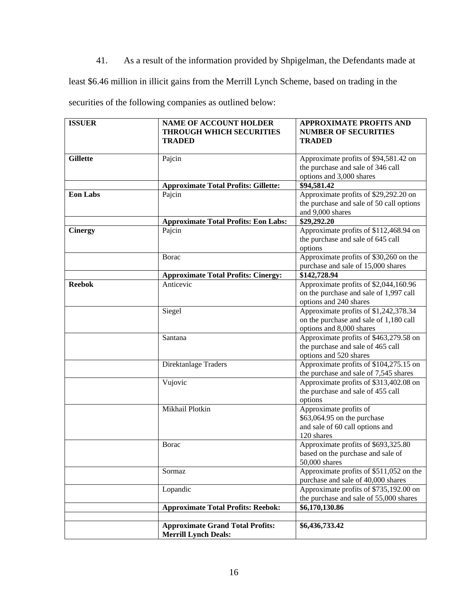41. As a result of the information provided by Shpigelman, the Defendants made at

least \$6.46 million in illicit gains from the Merrill Lynch Scheme, based on trading in the

securities of the following companies as outlined below:

| <b>ISSUER</b>   | <b>NAME OF ACCOUNT HOLDER</b><br><b>THROUGH WHICH SECURITIES</b><br><b>TRADED</b> | <b>APPROXIMATE PROFITS AND</b><br><b>NUMBER OF SECURITIES</b><br><b>TRADED</b>                              |
|-----------------|-----------------------------------------------------------------------------------|-------------------------------------------------------------------------------------------------------------|
| <b>Gillette</b> | Pajcin                                                                            | Approximate profits of \$94,581.42 on<br>the purchase and sale of 346 call<br>options and 3,000 shares      |
|                 | <b>Approximate Total Profits: Gillette:</b>                                       | \$94,581.42                                                                                                 |
| <b>Eon Labs</b> | Pajcin                                                                            | Approximate profits of \$29,292.20 on<br>the purchase and sale of 50 call options<br>and 9,000 shares       |
|                 | <b>Approximate Total Profits: Eon Labs:</b>                                       | \$29,292.20                                                                                                 |
| <b>Cinergy</b>  | Pajcin                                                                            | Approximate profits of \$112,468.94 on<br>the purchase and sale of 645 call<br>options                      |
|                 | <b>B</b> orac                                                                     | Approximate profits of \$30,260 on the<br>purchase and sale of 15,000 shares                                |
|                 | <b>Approximate Total Profits: Cinergy:</b>                                        | \$142,728.94                                                                                                |
| <b>Reebok</b>   | Anticevic                                                                         | Approximate profits of \$2,044,160.96<br>on the purchase and sale of 1,997 call<br>options and 240 shares   |
|                 | Siegel                                                                            | Approximate profits of \$1,242,378.34<br>on the purchase and sale of 1,180 call<br>options and 8,000 shares |
|                 | Santana                                                                           | Approximate profits of \$463,279.58 on<br>the purchase and sale of 465 call<br>options and 520 shares       |
|                 | Direktanlage Traders                                                              | Approximate profits of \$104,275.15 on<br>the purchase and sale of 7,545 shares                             |
|                 | Vujovic                                                                           | Approximate profits of \$313,402.08 on<br>the purchase and sale of 455 call<br>options                      |
|                 | Mikhail Plotkin                                                                   | Approximate profits of<br>\$63,064.95 on the purchase<br>and sale of 60 call options and<br>120 shares      |
|                 | <b>Borac</b>                                                                      | Approximate profits of \$693,325.80<br>based on the purchase and sale of<br>50,000 shares                   |
|                 | Sormaz                                                                            | Approximate profits of \$511,052 on the<br>purchase and sale of 40,000 shares                               |
|                 | Lopandic                                                                          | Approximate profits of \$735,192.00 on<br>the purchase and sale of 55,000 shares                            |
|                 | <b>Approximate Total Profits: Reebok:</b>                                         | \$6,170,130.86                                                                                              |
|                 | <b>Approximate Grand Total Profits:</b><br><b>Merrill Lynch Deals:</b>            | \$6,436,733.42                                                                                              |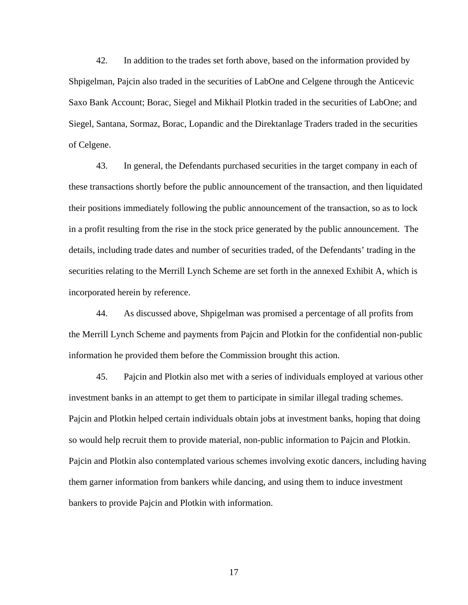42. In addition to the trades set forth above, based on the information provided by Shpigelman, Pajcin also traded in the securities of LabOne and Celgene through the Anticevic Saxo Bank Account; Borac, Siegel and Mikhail Plotkin traded in the securities of LabOne; and Siegel, Santana, Sormaz, Borac, Lopandic and the Direktanlage Traders traded in the securities of Celgene.

43. In general, the Defendants purchased securities in the target company in each of these transactions shortly before the public announcement of the transaction, and then liquidated their positions immediately following the public announcement of the transaction, so as to lock in a profit resulting from the rise in the stock price generated by the public announcement. The details, including trade dates and number of securities traded, of the Defendants' trading in the securities relating to the Merrill Lynch Scheme are set forth in the annexed Exhibit A, which is incorporated herein by reference.

44. As discussed above, Shpigelman was promised a percentage of all profits from the Merrill Lynch Scheme and payments from Pajcin and Plotkin for the confidential non-public information he provided them before the Commission brought this action.

45. Pajcin and Plotkin also met with a series of individuals employed at various other investment banks in an attempt to get them to participate in similar illegal trading schemes. Pajcin and Plotkin helped certain individuals obtain jobs at investment banks, hoping that doing so would help recruit them to provide material, non-public information to Pajcin and Plotkin. Pajcin and Plotkin also contemplated various schemes involving exotic dancers, including having them garner information from bankers while dancing, and using them to induce investment bankers to provide Pajcin and Plotkin with information.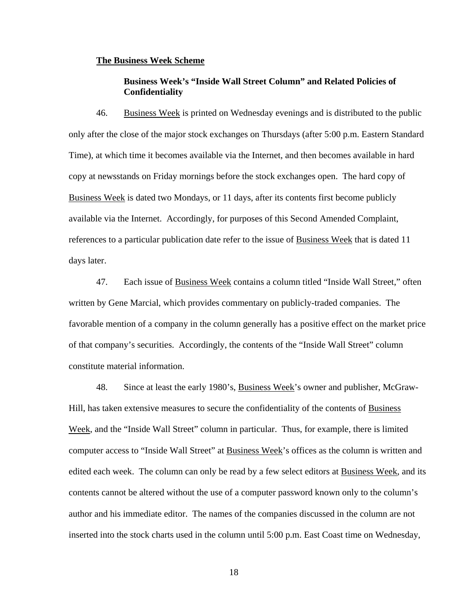## **The Business Week Scheme**

# **Business Week's "Inside Wall Street Column" and Related Policies of Confidentiality**

46. Business Week is printed on Wednesday evenings and is distributed to the public only after the close of the major stock exchanges on Thursdays (after 5:00 p.m. Eastern Standard Time), at which time it becomes available via the Internet, and then becomes available in hard copy at newsstands on Friday mornings before the stock exchanges open. The hard copy of Business Week is dated two Mondays, or 11 days, after its contents first become publicly available via the Internet. Accordingly, for purposes of this Second Amended Complaint, references to a particular publication date refer to the issue of Business Week that is dated 11 days later.

47. Each issue of Business Week contains a column titled "Inside Wall Street," often written by Gene Marcial, which provides commentary on publicly-traded companies. The favorable mention of a company in the column generally has a positive effect on the market price of that company's securities. Accordingly, the contents of the "Inside Wall Street" column constitute material information.

48. Since at least the early 1980's, **Business Week**'s owner and publisher, McGraw-Hill, has taken extensive measures to secure the confidentiality of the contents of Business Week, and the "Inside Wall Street" column in particular. Thus, for example, there is limited computer access to "Inside Wall Street" at Business Week's offices as the column is written and edited each week. The column can only be read by a few select editors at Business Week, and its contents cannot be altered without the use of a computer password known only to the column's author and his immediate editor. The names of the companies discussed in the column are not inserted into the stock charts used in the column until 5:00 p.m. East Coast time on Wednesday,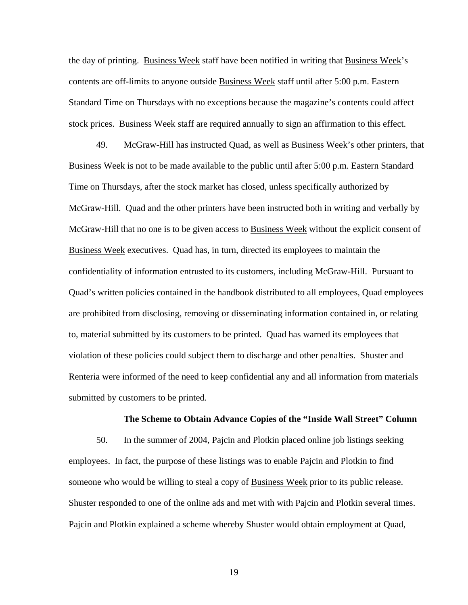the day of printing. Business Week staff have been notified in writing that Business Week's contents are off-limits to anyone outside Business Week staff until after 5:00 p.m. Eastern Standard Time on Thursdays with no exceptions because the magazine's contents could affect stock prices. Business Week staff are required annually to sign an affirmation to this effect.

49. McGraw-Hill has instructed Quad, as well as Business Week's other printers, that Business Week is not to be made available to the public until after 5:00 p.m. Eastern Standard Time on Thursdays, after the stock market has closed, unless specifically authorized by McGraw-Hill. Quad and the other printers have been instructed both in writing and verbally by McGraw-Hill that no one is to be given access to Business Week without the explicit consent of Business Week executives. Quad has, in turn, directed its employees to maintain the confidentiality of information entrusted to its customers, including McGraw-Hill. Pursuant to Quad's written policies contained in the handbook distributed to all employees, Quad employees are prohibited from disclosing, removing or disseminating information contained in, or relating to, material submitted by its customers to be printed. Quad has warned its employees that violation of these policies could subject them to discharge and other penalties. Shuster and Renteria were informed of the need to keep confidential any and all information from materials submitted by customers to be printed.

### **The Scheme to Obtain Advance Copies of the "Inside Wall Street" Column**

50. In the summer of 2004, Pajcin and Plotkin placed online job listings seeking employees. In fact, the purpose of these listings was to enable Pajcin and Plotkin to find someone who would be willing to steal a copy of Business Week prior to its public release. Shuster responded to one of the online ads and met with with Pajcin and Plotkin several times. Pajcin and Plotkin explained a scheme whereby Shuster would obtain employment at Quad,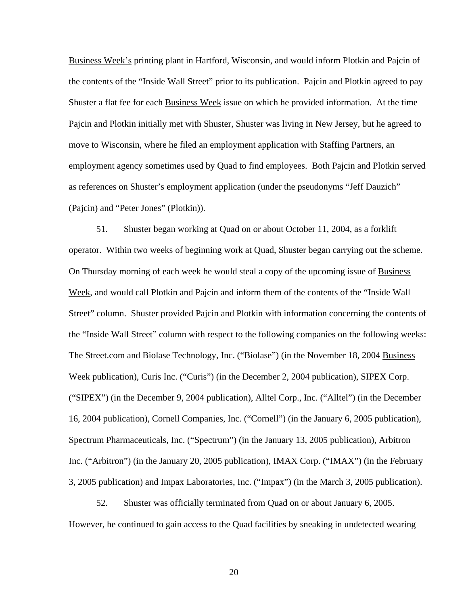Business Week's printing plant in Hartford, Wisconsin, and would inform Plotkin and Pajcin of the contents of the "Inside Wall Street" prior to its publication. Pajcin and Plotkin agreed to pay Shuster a flat fee for each Business Week issue on which he provided information. At the time Pajcin and Plotkin initially met with Shuster, Shuster was living in New Jersey, but he agreed to move to Wisconsin, where he filed an employment application with Staffing Partners, an employment agency sometimes used by Quad to find employees. Both Pajcin and Plotkin served as references on Shuster's employment application (under the pseudonyms "Jeff Dauzich" (Pajcin) and "Peter Jones" (Plotkin)).

51. Shuster began working at Quad on or about October 11, 2004, as a forklift operator. Within two weeks of beginning work at Quad, Shuster began carrying out the scheme. On Thursday morning of each week he would steal a copy of the upcoming issue of Business Week, and would call Plotkin and Pajcin and inform them of the contents of the "Inside Wall Street" column. Shuster provided Pajcin and Plotkin with information concerning the contents of the "Inside Wall Street" column with respect to the following companies on the following weeks: The Street.com and Biolase Technology, Inc. ("Biolase") (in the November 18, 2004 Business Week publication), Curis Inc. ("Curis") (in the December 2, 2004 publication), SIPEX Corp. ("SIPEX") (in the December 9, 2004 publication), Alltel Corp., Inc. ("Alltel") (in the December 16, 2004 publication), Cornell Companies, Inc. ("Cornell") (in the January 6, 2005 publication), Spectrum Pharmaceuticals, Inc. ("Spectrum") (in the January 13, 2005 publication), Arbitron Inc. ("Arbitron") (in the January 20, 2005 publication), IMAX Corp. ("IMAX") (in the February 3, 2005 publication) and Impax Laboratories, Inc. ("Impax") (in the March 3, 2005 publication).

52. Shuster was officially terminated from Quad on or about January 6, 2005. However, he continued to gain access to the Quad facilities by sneaking in undetected wearing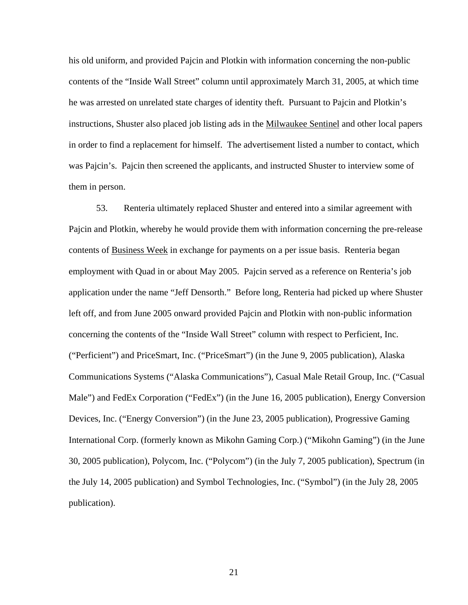his old uniform, and provided Pajcin and Plotkin with information concerning the non-public contents of the "Inside Wall Street" column until approximately March 31, 2005, at which time he was arrested on unrelated state charges of identity theft. Pursuant to Pajcin and Plotkin's instructions, Shuster also placed job listing ads in the Milwaukee Sentinel and other local papers in order to find a replacement for himself. The advertisement listed a number to contact, which was Pajcin's. Pajcin then screened the applicants, and instructed Shuster to interview some of them in person.

53. Renteria ultimately replaced Shuster and entered into a similar agreement with Pajcin and Plotkin, whereby he would provide them with information concerning the pre-release contents of Business Week in exchange for payments on a per issue basis. Renteria began employment with Quad in or about May 2005. Pajcin served as a reference on Renteria's job application under the name "Jeff Densorth." Before long, Renteria had picked up where Shuster left off, and from June 2005 onward provided Pajcin and Plotkin with non-public information concerning the contents of the "Inside Wall Street" column with respect to Perficient, Inc. ("Perficient") and PriceSmart, Inc. ("PriceSmart") (in the June 9, 2005 publication), Alaska Communications Systems ("Alaska Communications"), Casual Male Retail Group, Inc. ("Casual Male") and FedEx Corporation ("FedEx") (in the June 16, 2005 publication), Energy Conversion Devices, Inc. ("Energy Conversion") (in the June 23, 2005 publication), Progressive Gaming International Corp. (formerly known as Mikohn Gaming Corp.) ("Mikohn Gaming") (in the June 30, 2005 publication), Polycom, Inc. ("Polycom") (in the July 7, 2005 publication), Spectrum (in the July 14, 2005 publication) and Symbol Technologies, Inc. ("Symbol") (in the July 28, 2005 publication).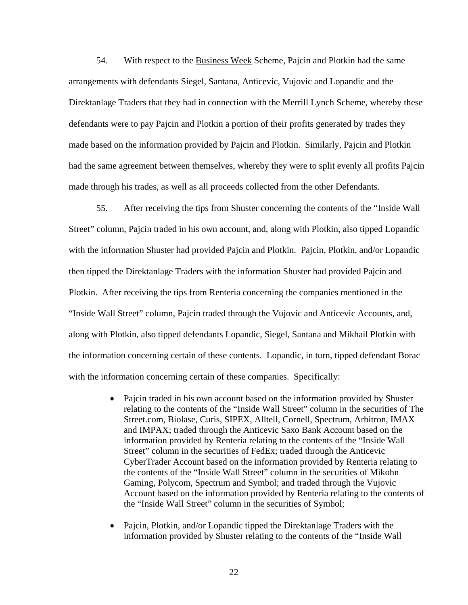54. With respect to the Business Week Scheme, Pajcin and Plotkin had the same arrangements with defendants Siegel, Santana, Anticevic, Vujovic and Lopandic and the Direktanlage Traders that they had in connection with the Merrill Lynch Scheme, whereby these defendants were to pay Pajcin and Plotkin a portion of their profits generated by trades they made based on the information provided by Pajcin and Plotkin. Similarly, Pajcin and Plotkin had the same agreement between themselves, whereby they were to split evenly all profits Pajcin made through his trades, as well as all proceeds collected from the other Defendants.

55. After receiving the tips from Shuster concerning the contents of the "Inside Wall Street" column, Pajcin traded in his own account, and, along with Plotkin, also tipped Lopandic with the information Shuster had provided Pajcin and Plotkin. Pajcin, Plotkin, and/or Lopandic then tipped the Direktanlage Traders with the information Shuster had provided Pajcin and Plotkin. After receiving the tips from Renteria concerning the companies mentioned in the "Inside Wall Street" column, Pajcin traded through the Vujovic and Anticevic Accounts, and, along with Plotkin, also tipped defendants Lopandic, Siegel, Santana and Mikhail Plotkin with the information concerning certain of these contents. Lopandic, in turn, tipped defendant Borac with the information concerning certain of these companies. Specifically:

- Pajcin traded in his own account based on the information provided by Shuster relating to the contents of the "Inside Wall Street" column in the securities of The Street.com, Biolase, Curis, SIPEX, Alltell, Cornell, Spectrum, Arbitron, IMAX and IMPAX; traded through the Anticevic Saxo Bank Account based on the information provided by Renteria relating to the contents of the "Inside Wall Street" column in the securities of FedEx; traded through the Anticevic CyberTrader Account based on the information provided by Renteria relating to the contents of the "Inside Wall Street" column in the securities of Mikohn Gaming, Polycom, Spectrum and Symbol; and traded through the Vujovic Account based on the information provided by Renteria relating to the contents of the "Inside Wall Street" column in the securities of Symbol;
- Pajcin, Plotkin, and/or Lopandic tipped the Direktanlage Traders with the information provided by Shuster relating to the contents of the "Inside Wall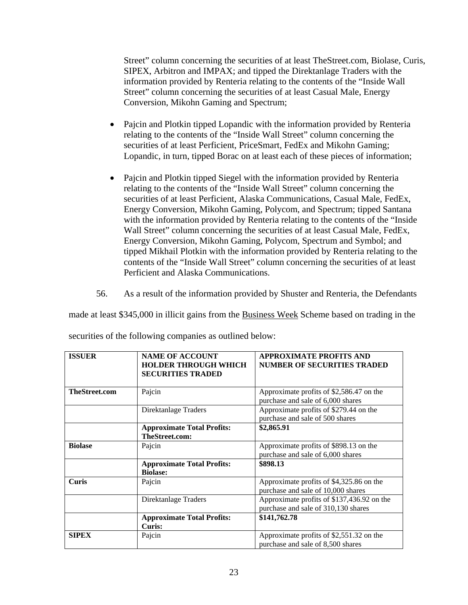Street" column concerning the securities of at least TheStreet.com, Biolase, Curis, SIPEX, Arbitron and IMPAX; and tipped the Direktanlage Traders with the information provided by Renteria relating to the contents of the "Inside Wall Street" column concerning the securities of at least Casual Male, Energy Conversion, Mikohn Gaming and Spectrum;

- Pajcin and Plotkin tipped Lopandic with the information provided by Renteria relating to the contents of the "Inside Wall Street" column concerning the securities of at least Perficient, PriceSmart, FedEx and Mikohn Gaming; Lopandic, in turn, tipped Borac on at least each of these pieces of information;
- Pajcin and Plotkin tipped Siegel with the information provided by Renteria relating to the contents of the "Inside Wall Street" column concerning the securities of at least Perficient, Alaska Communications, Casual Male, FedEx, Energy Conversion, Mikohn Gaming, Polycom, and Spectrum; tipped Santana with the information provided by Renteria relating to the contents of the "Inside Wall Street" column concerning the securities of at least Casual Male, FedEx, Energy Conversion, Mikohn Gaming, Polycom, Spectrum and Symbol; and tipped Mikhail Plotkin with the information provided by Renteria relating to the contents of the "Inside Wall Street" column concerning the securities of at least Perficient and Alaska Communications.
- 56. As a result of the information provided by Shuster and Renteria, the Defendants

made at least \$345,000 in illicit gains from the **Business Week Scheme based on trading in the** 

| <b>ISSUER</b>        | <b>NAME OF ACCOUNT</b>            | <b>APPROXIMATE PROFITS AND</b>             |
|----------------------|-----------------------------------|--------------------------------------------|
|                      | <b>HOLDER THROUGH WHICH</b>       | <b>NUMBER OF SECURITIES TRADED</b>         |
|                      | <b>SECURITIES TRADED</b>          |                                            |
|                      |                                   |                                            |
| <b>TheStreet.com</b> | Pajcin                            | Approximate profits of \$2,586.47 on the   |
|                      |                                   | purchase and sale of 6,000 shares          |
|                      | Direktanlage Traders              | Approximate profits of \$279.44 on the     |
|                      |                                   | purchase and sale of 500 shares            |
|                      | <b>Approximate Total Profits:</b> | \$2,865.91                                 |
|                      | TheStreet.com:                    |                                            |
| <b>Biolase</b>       | Pajcin                            | Approximate profits of \$898.13 on the     |
|                      |                                   | purchase and sale of 6,000 shares          |
|                      | <b>Approximate Total Profits:</b> | \$898.13                                   |
|                      | <b>Biolase:</b>                   |                                            |
| <b>Curis</b>         | Pajcin                            | Approximate profits of \$4,325.86 on the   |
|                      |                                   | purchase and sale of 10,000 shares         |
|                      | Direktanlage Traders              | Approximate profits of \$137,436.92 on the |
|                      |                                   | purchase and sale of 310,130 shares        |
|                      | <b>Approximate Total Profits:</b> | \$141,762.78                               |
|                      | Curis:                            |                                            |
| <b>SIPEX</b>         | Pajcin                            | Approximate profits of \$2,551.32 on the   |
|                      |                                   | purchase and sale of 8,500 shares          |

securities of the following companies as outlined below: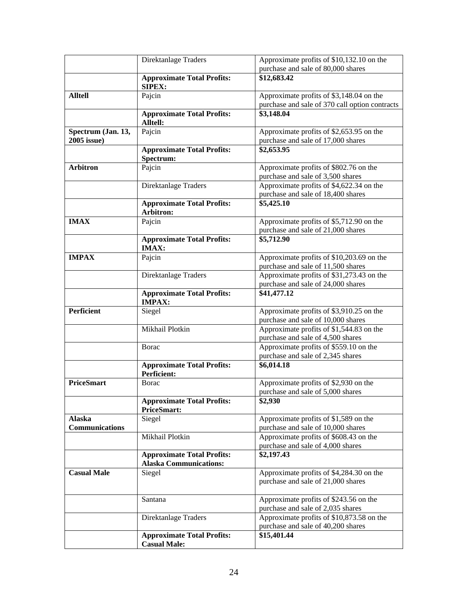|                       | Direktanlage Traders                               | Approximate profits of \$10,132.10 on the<br>purchase and sale of 80,000 shares |
|-----------------------|----------------------------------------------------|---------------------------------------------------------------------------------|
|                       |                                                    | \$12,683.42                                                                     |
|                       | <b>Approximate Total Profits:</b><br><b>SIPEX:</b> |                                                                                 |
| <b>Alltell</b>        | Pajcin                                             | Approximate profits of \$3,148.04 on the                                        |
|                       |                                                    | purchase and sale of 370 call option contracts                                  |
|                       | <b>Approximate Total Profits:</b>                  | \$3,148.04                                                                      |
|                       | Alltell:                                           |                                                                                 |
| Spectrum (Jan. 13,    | Pajcin                                             | Approximate profits of \$2,653.95 on the                                        |
| 2005 issue)           |                                                    | purchase and sale of 17,000 shares                                              |
|                       | <b>Approximate Total Profits:</b>                  | \$2,653.95                                                                      |
|                       | Spectrum:                                          |                                                                                 |
| <b>Arbitron</b>       | Pajcin                                             | Approximate profits of \$802.76 on the                                          |
|                       |                                                    | purchase and sale of 3,500 shares                                               |
|                       | Direktanlage Traders                               | Approximate profits of \$4,622.34 on the                                        |
|                       |                                                    | purchase and sale of 18,400 shares                                              |
|                       | <b>Approximate Total Profits:</b>                  | \$5,425.10                                                                      |
|                       | Arbitron:                                          |                                                                                 |
| <b>IMAX</b>           | Pajcin                                             | Approximate profits of \$5,712.90 on the                                        |
|                       |                                                    | purchase and sale of 21,000 shares                                              |
|                       | <b>Approximate Total Profits:</b><br><b>IMAX:</b>  | \$5,712.90                                                                      |
| <b>IMPAX</b>          | Pajcin                                             | Approximate profits of \$10,203.69 on the                                       |
|                       |                                                    | purchase and sale of 11,500 shares                                              |
|                       | Direktanlage Traders                               | Approximate profits of \$31,273.43 on the                                       |
|                       |                                                    | purchase and sale of 24,000 shares                                              |
|                       | <b>Approximate Total Profits:</b>                  | \$41,477.12                                                                     |
|                       | <b>IMPAX:</b>                                      |                                                                                 |
| Perficient            | Siegel                                             | Approximate profits of \$3,910.25 on the                                        |
|                       |                                                    | purchase and sale of 10,000 shares                                              |
|                       | Mikhail Plotkin                                    | Approximate profits of \$1,544.83 on the                                        |
|                       |                                                    | purchase and sale of 4,500 shares                                               |
|                       | <b>Borac</b>                                       | Approximate profits of \$559.10 on the                                          |
|                       |                                                    | purchase and sale of 2,345 shares                                               |
|                       | <b>Approximate Total Profits:</b><br>Perficient:   | \$6,014.18                                                                      |
| <b>PriceSmart</b>     | <b>B</b> orac                                      | Approximate profits of \$2,930 on the                                           |
|                       |                                                    | purchase and sale of 5,000 shares                                               |
|                       | <b>Approximate Total Profits:</b>                  | \$2,930                                                                         |
|                       | <b>PriceSmart:</b>                                 |                                                                                 |
| <b>Alaska</b>         | Siegel                                             | Approximate profits of \$1,589 on the                                           |
| <b>Communications</b> |                                                    | purchase and sale of 10,000 shares                                              |
|                       | Mikhail Plotkin                                    | Approximate profits of \$608.43 on the                                          |
|                       |                                                    | purchase and sale of 4,000 shares                                               |
|                       | <b>Approximate Total Profits:</b>                  | \$2,197.43                                                                      |
|                       | <b>Alaska Communications:</b>                      |                                                                                 |
| <b>Casual Male</b>    | Siegel                                             | Approximate profits of \$4,284.30 on the                                        |
|                       |                                                    | purchase and sale of 21,000 shares                                              |
|                       |                                                    |                                                                                 |
|                       | Santana                                            | Approximate profits of \$243.56 on the                                          |
|                       |                                                    | purchase and sale of 2,035 shares                                               |
|                       | Direktanlage Traders                               | Approximate profits of \$10,873.58 on the                                       |
|                       |                                                    | purchase and sale of 40,200 shares                                              |
|                       | <b>Approximate Total Profits:</b>                  | \$15,401.44                                                                     |
|                       | <b>Casual Male:</b>                                |                                                                                 |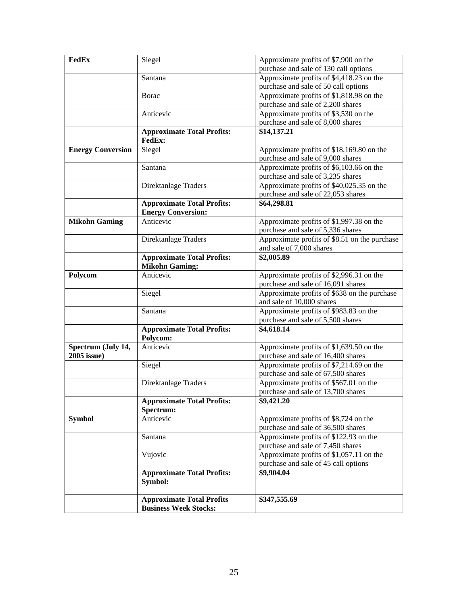| FedEx                    | Siegel                                         | Approximate profits of \$7,900 on the                                            |
|--------------------------|------------------------------------------------|----------------------------------------------------------------------------------|
|                          |                                                | purchase and sale of 130 call options                                            |
|                          | Santana                                        | Approximate profits of \$4,418.23 on the<br>purchase and sale of 50 call options |
|                          | Borac                                          | Approximate profits of \$1,818.98 on the                                         |
|                          |                                                | purchase and sale of 2,200 shares                                                |
|                          | Anticevic                                      | Approximate profits of \$3,530 on the                                            |
|                          |                                                | purchase and sale of 8,000 shares                                                |
|                          | <b>Approximate Total Profits:</b><br>FedEx:    | \$14,137.21                                                                      |
| <b>Energy Conversion</b> | Siegel                                         | Approximate profits of \$18,169.80 on the                                        |
|                          |                                                | purchase and sale of 9,000 shares                                                |
|                          | Santana                                        | Approximate profits of \$6,103.66 on the                                         |
|                          |                                                | purchase and sale of 3,235 shares                                                |
|                          | Direktanlage Traders                           | Approximate profits of \$40,025.35 on the                                        |
|                          |                                                | purchase and sale of 22,053 shares                                               |
|                          | <b>Approximate Total Profits:</b>              | \$64,298.81                                                                      |
|                          | <b>Energy Conversion:</b>                      |                                                                                  |
| <b>Mikohn Gaming</b>     | Anticevic                                      | Approximate profits of \$1,997.38 on the                                         |
|                          |                                                | purchase and sale of 5,336 shares                                                |
|                          | Direktanlage Traders                           | Approximate profits of \$8.51 on the purchase                                    |
|                          |                                                | and sale of 7,000 shares                                                         |
|                          | <b>Approximate Total Profits:</b>              | \$2,005.89                                                                       |
|                          | <b>Mikohn Gaming:</b>                          |                                                                                  |
| Polycom                  | Anticevic                                      | Approximate profits of \$2,996.31 on the                                         |
|                          |                                                | purchase and sale of 16,091 shares                                               |
|                          | Siegel                                         | Approximate profits of \$638 on the purchase                                     |
|                          |                                                | and sale of 10,000 shares                                                        |
|                          | Santana                                        | Approximate profits of \$983.83 on the                                           |
|                          |                                                | purchase and sale of 5,500 shares                                                |
|                          | <b>Approximate Total Profits:</b>              | \$4,618.14                                                                       |
|                          | Polycom:                                       |                                                                                  |
| Spectrum (July 14,       | Anticevic                                      | Approximate profits of \$1,639.50 on the                                         |
| 2005 issue)              |                                                | purchase and sale of 16,400 shares                                               |
|                          | Siegel                                         | Approximate profits of \$7,214.69 on the                                         |
|                          |                                                | purchase and sale of 67,500 shares                                               |
|                          | Direktanlage Traders                           | Approximate profits of \$567.01 on the                                           |
|                          |                                                | purchase and sale of 13,700 shares                                               |
|                          | <b>Approximate Total Profits:</b><br>Spectrum: | \$9,421.20                                                                       |
| <b>Symbol</b>            | Anticevic                                      | Approximate profits of \$8,724 on the                                            |
|                          |                                                | purchase and sale of 36,500 shares                                               |
|                          | Santana                                        | Approximate profits of \$122.93 on the                                           |
|                          |                                                | purchase and sale of 7,450 shares                                                |
|                          | Vujovic                                        | Approximate profits of \$1,057.11 on the                                         |
|                          |                                                | purchase and sale of 45 call options                                             |
|                          |                                                |                                                                                  |
|                          | <b>Approximate Total Profits:</b><br>Symbol:   | \$9,904.04                                                                       |
|                          | <b>Approximate Total Profits</b>               | \$347,555.69                                                                     |
|                          | <b>Business Week Stocks:</b>                   |                                                                                  |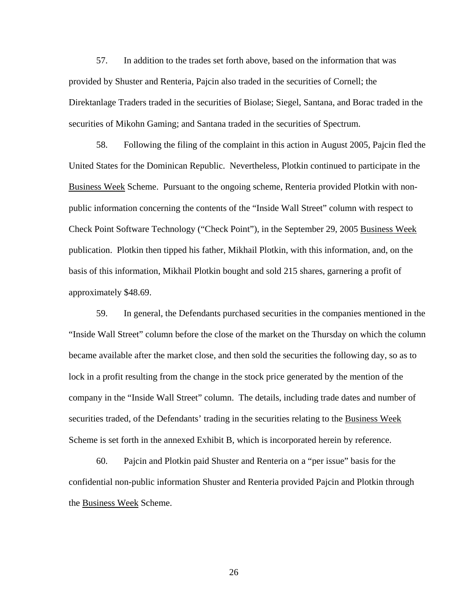57. In addition to the trades set forth above, based on the information that was provided by Shuster and Renteria, Pajcin also traded in the securities of Cornell; the Direktanlage Traders traded in the securities of Biolase; Siegel, Santana, and Borac traded in the securities of Mikohn Gaming; and Santana traded in the securities of Spectrum.

58. Following the filing of the complaint in this action in August 2005, Pajcin fled the United States for the Dominican Republic. Nevertheless, Plotkin continued to participate in the Business Week Scheme. Pursuant to the ongoing scheme, Renteria provided Plotkin with nonpublic information concerning the contents of the "Inside Wall Street" column with respect to Check Point Software Technology ("Check Point"), in the September 29, 2005 Business Week publication. Plotkin then tipped his father, Mikhail Plotkin, with this information, and, on the basis of this information, Mikhail Plotkin bought and sold 215 shares, garnering a profit of approximately \$48.69.

59. In general, the Defendants purchased securities in the companies mentioned in the "Inside Wall Street" column before the close of the market on the Thursday on which the column became available after the market close, and then sold the securities the following day, so as to lock in a profit resulting from the change in the stock price generated by the mention of the company in the "Inside Wall Street" column. The details, including trade dates and number of securities traded, of the Defendants' trading in the securities relating to the Business Week Scheme is set forth in the annexed Exhibit B, which is incorporated herein by reference.

60. Pajcin and Plotkin paid Shuster and Renteria on a "per issue" basis for the confidential non-public information Shuster and Renteria provided Pajcin and Plotkin through the Business Week Scheme.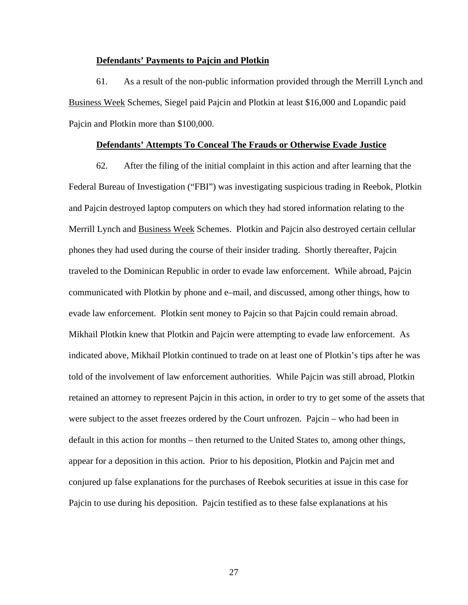### **Defendants' Payments to Pajcin and Plotkin**

61. As a result of the non-public information provided through the Merrill Lynch and Business Week Schemes, Siegel paid Pajcin and Plotkin at least \$16,000 and Lopandic paid Pajcin and Plotkin more than \$100,000.

## **Defendants' Attempts To Conceal The Frauds or Otherwise Evade Justice**

62. After the filing of the initial complaint in this action and after learning that the Federal Bureau of Investigation ("FBI") was investigating suspicious trading in Reebok, Plotkin and Pajcin destroyed laptop computers on which they had stored information relating to the Merrill Lynch and Business Week Schemes. Plotkin and Pajcin also destroyed certain cellular phones they had used during the course of their insider trading. Shortly thereafter, Pajcin traveled to the Dominican Republic in order to evade law enforcement. While abroad, Pajcin communicated with Plotkin by phone and e–mail, and discussed, among other things, how to evade law enforcement. Plotkin sent money to Pajcin so that Pajcin could remain abroad. Mikhail Plotkin knew that Plotkin and Pajcin were attempting to evade law enforcement. As indicated above, Mikhail Plotkin continued to trade on at least one of Plotkin's tips after he was told of the involvement of law enforcement authorities. While Pajcin was still abroad, Plotkin retained an attorney to represent Pajcin in this action, in order to try to get some of the assets that were subject to the asset freezes ordered by the Court unfrozen. Pajcin – who had been in default in this action for months – then returned to the United States to, among other things, appear for a deposition in this action. Prior to his deposition, Plotkin and Pajcin met and conjured up false explanations for the purchases of Reebok securities at issue in this case for Pajcin to use during his deposition. Pajcin testified as to these false explanations at his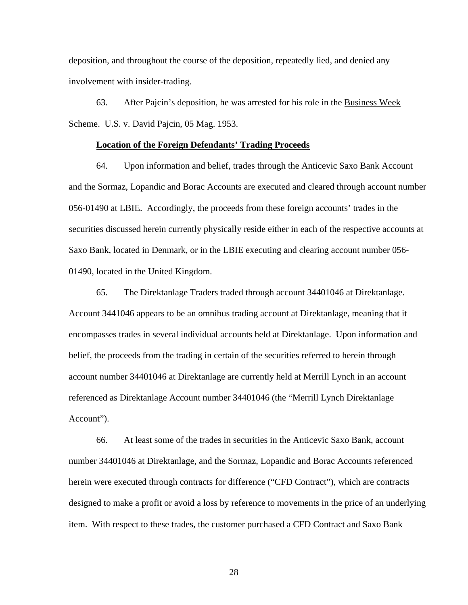deposition, and throughout the course of the deposition, repeatedly lied, and denied any involvement with insider-trading.

63. After Pajcin's deposition, he was arrested for his role in the Business Week Scheme. U.S. v. David Pajcin, 05 Mag. 1953.

### **Location of the Foreign Defendants' Trading Proceeds**

64. Upon information and belief, trades through the Anticevic Saxo Bank Account and the Sormaz, Lopandic and Borac Accounts are executed and cleared through account number 056-01490 at LBIE. Accordingly, the proceeds from these foreign accounts' trades in the securities discussed herein currently physically reside either in each of the respective accounts at Saxo Bank, located in Denmark, or in the LBIE executing and clearing account number 056- 01490, located in the United Kingdom.

65. The Direktanlage Traders traded through account 34401046 at Direktanlage. Account 3441046 appears to be an omnibus trading account at Direktanlage, meaning that it encompasses trades in several individual accounts held at Direktanlage. Upon information and belief, the proceeds from the trading in certain of the securities referred to herein through account number 34401046 at Direktanlage are currently held at Merrill Lynch in an account referenced as Direktanlage Account number 34401046 (the "Merrill Lynch Direktanlage Account").

66. At least some of the trades in securities in the Anticevic Saxo Bank, account number 34401046 at Direktanlage, and the Sormaz, Lopandic and Borac Accounts referenced herein were executed through contracts for difference ("CFD Contract"), which are contracts designed to make a profit or avoid a loss by reference to movements in the price of an underlying item. With respect to these trades, the customer purchased a CFD Contract and Saxo Bank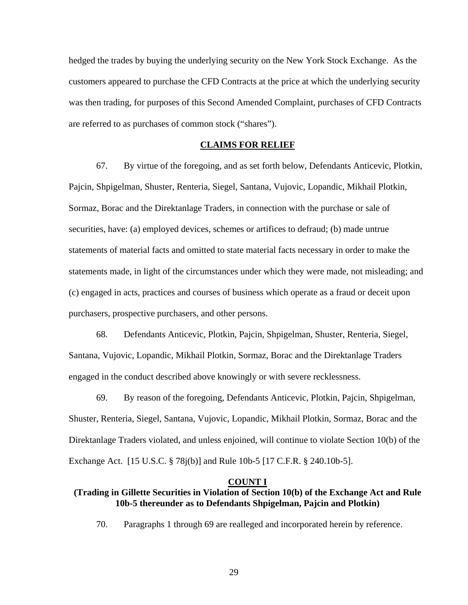hedged the trades by buying the underlying security on the New York Stock Exchange. As the customers appeared to purchase the CFD Contracts at the price at which the underlying security was then trading, for purposes of this Second Amended Complaint, purchases of CFD Contracts are referred to as purchases of common stock ("shares").

#### **CLAIMS FOR RELIEF**

67. By virtue of the foregoing, and as set forth below, Defendants Anticevic, Plotkin, Pajcin, Shpigelman, Shuster, Renteria, Siegel, Santana, Vujovic, Lopandic, Mikhail Plotkin, Sormaz, Borac and the Direktanlage Traders, in connection with the purchase or sale of securities, have: (a) employed devices, schemes or artifices to defraud; (b) made untrue statements of material facts and omitted to state material facts necessary in order to make the statements made, in light of the circumstances under which they were made, not misleading; and (c) engaged in acts, practices and courses of business which operate as a fraud or deceit upon purchasers, prospective purchasers, and other persons.

 68. Defendants Anticevic, Plotkin, Pajcin, Shpigelman, Shuster, Renteria, Siegel, Santana, Vujovic, Lopandic, Mikhail Plotkin, Sormaz, Borac and the Direktanlage Traders engaged in the conduct described above knowingly or with severe recklessness.

 69. By reason of the foregoing, Defendants Anticevic, Plotkin, Pajcin, Shpigelman, Shuster, Renteria, Siegel, Santana, Vujovic, Lopandic, Mikhail Plotkin, Sormaz, Borac and the Direktanlage Traders violated, and unless enjoined, will continue to violate Section 10(b) of the Exchange Act. [15 U.S.C. § 78j(b)] and Rule 10b-5 [17 C.F.R. § 240.10b-5].

#### **COUNT I**

# **(Trading in Gillette Securities in Violation of Section 10(b) of the Exchange Act and Rule 10b-5 thereunder as to Defendants Shpigelman, Pajcin and Plotkin)**

70. Paragraphs 1 through 69 are realleged and incorporated herein by reference.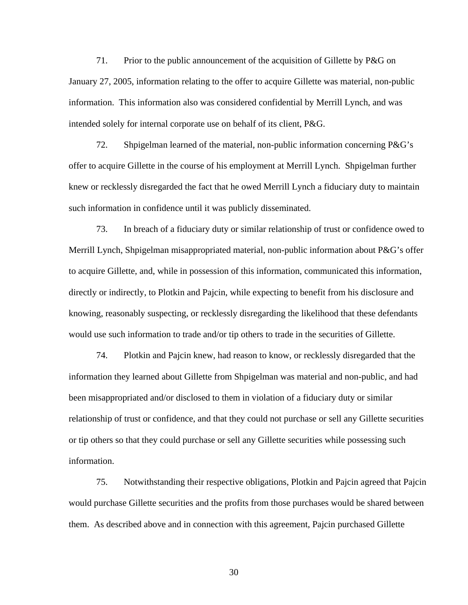71. Prior to the public announcement of the acquisition of Gillette by P&G on January 27, 2005, information relating to the offer to acquire Gillette was material, non-public information. This information also was considered confidential by Merrill Lynch, and was intended solely for internal corporate use on behalf of its client, P&G.

72. Shpigelman learned of the material, non-public information concerning P&G's offer to acquire Gillette in the course of his employment at Merrill Lynch. Shpigelman further knew or recklessly disregarded the fact that he owed Merrill Lynch a fiduciary duty to maintain such information in confidence until it was publicly disseminated.

73. In breach of a fiduciary duty or similar relationship of trust or confidence owed to Merrill Lynch, Shpigelman misappropriated material, non-public information about P&G's offer to acquire Gillette, and, while in possession of this information, communicated this information, directly or indirectly, to Plotkin and Pajcin, while expecting to benefit from his disclosure and knowing, reasonably suspecting, or recklessly disregarding the likelihood that these defendants would use such information to trade and/or tip others to trade in the securities of Gillette.

74. Plotkin and Pajcin knew, had reason to know, or recklessly disregarded that the information they learned about Gillette from Shpigelman was material and non-public, and had been misappropriated and/or disclosed to them in violation of a fiduciary duty or similar relationship of trust or confidence, and that they could not purchase or sell any Gillette securities or tip others so that they could purchase or sell any Gillette securities while possessing such information.

75. Notwithstanding their respective obligations, Plotkin and Pajcin agreed that Pajcin would purchase Gillette securities and the profits from those purchases would be shared between them. As described above and in connection with this agreement, Pajcin purchased Gillette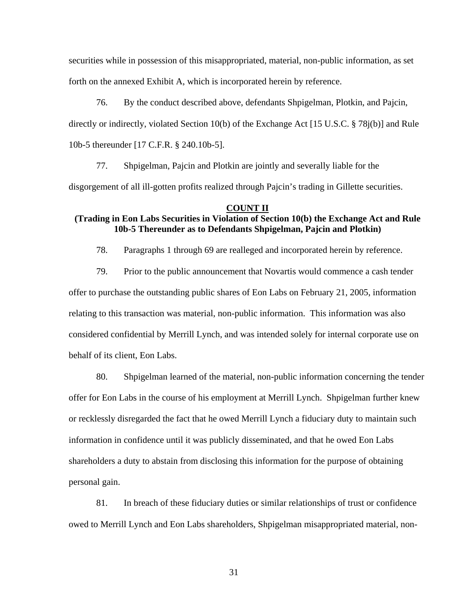securities while in possession of this misappropriated, material, non-public information, as set forth on the annexed Exhibit A, which is incorporated herein by reference.

76. By the conduct described above, defendants Shpigelman, Plotkin, and Pajcin, directly or indirectly, violated Section 10(b) of the Exchange Act [15 U.S.C. § 78j(b)] and Rule 10b-5 thereunder [17 C.F.R. § 240.10b-5].

77. Shpigelman, Pajcin and Plotkin are jointly and severally liable for the disgorgement of all ill-gotten profits realized through Pajcin's trading in Gillette securities.

#### **COUNT II**

# **(Trading in Eon Labs Securities in Violation of Section 10(b) the Exchange Act and Rule 10b-5 Thereunder as to Defendants Shpigelman, Pajcin and Plotkin)**

78. Paragraphs 1 through 69 are realleged and incorporated herein by reference.

79. Prior to the public announcement that Novartis would commence a cash tender offer to purchase the outstanding public shares of Eon Labs on February 21, 2005, information relating to this transaction was material, non-public information. This information was also considered confidential by Merrill Lynch, and was intended solely for internal corporate use on behalf of its client, Eon Labs.

80. Shpigelman learned of the material, non-public information concerning the tender offer for Eon Labs in the course of his employment at Merrill Lynch. Shpigelman further knew or recklessly disregarded the fact that he owed Merrill Lynch a fiduciary duty to maintain such information in confidence until it was publicly disseminated, and that he owed Eon Labs shareholders a duty to abstain from disclosing this information for the purpose of obtaining personal gain.

81. In breach of these fiduciary duties or similar relationships of trust or confidence owed to Merrill Lynch and Eon Labs shareholders, Shpigelman misappropriated material, non-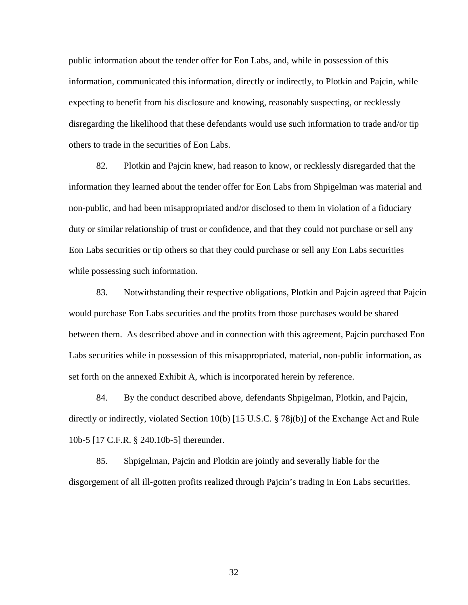public information about the tender offer for Eon Labs, and, while in possession of this information, communicated this information, directly or indirectly, to Plotkin and Pajcin, while expecting to benefit from his disclosure and knowing, reasonably suspecting, or recklessly disregarding the likelihood that these defendants would use such information to trade and/or tip others to trade in the securities of Eon Labs.

82. Plotkin and Pajcin knew, had reason to know, or recklessly disregarded that the information they learned about the tender offer for Eon Labs from Shpigelman was material and non-public, and had been misappropriated and/or disclosed to them in violation of a fiduciary duty or similar relationship of trust or confidence, and that they could not purchase or sell any Eon Labs securities or tip others so that they could purchase or sell any Eon Labs securities while possessing such information.

83. Notwithstanding their respective obligations, Plotkin and Pajcin agreed that Pajcin would purchase Eon Labs securities and the profits from those purchases would be shared between them. As described above and in connection with this agreement, Pajcin purchased Eon Labs securities while in possession of this misappropriated, material, non-public information, as set forth on the annexed Exhibit A, which is incorporated herein by reference.

84. By the conduct described above, defendants Shpigelman, Plotkin, and Pajcin, directly or indirectly, violated Section 10(b) [15 U.S.C. § 78j(b)] of the Exchange Act and Rule 10b-5 [17 C.F.R. § 240.10b-5] thereunder.

85. Shpigelman, Pajcin and Plotkin are jointly and severally liable for the disgorgement of all ill-gotten profits realized through Pajcin's trading in Eon Labs securities.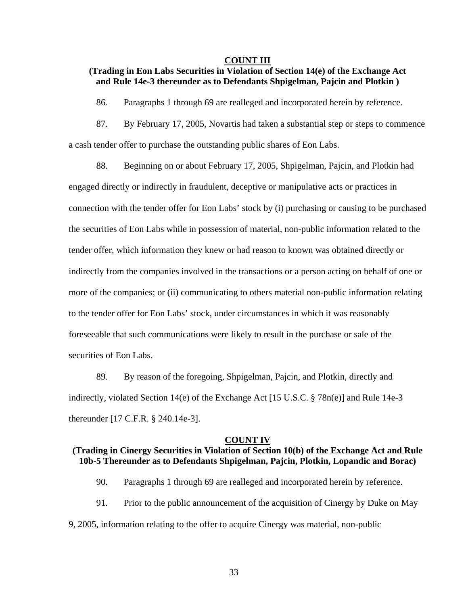#### **COUNT III**

# **(Trading in Eon Labs Securities in Violation of Section 14(e) of the Exchange Act and Rule 14e-3 thereunder as to Defendants Shpigelman, Pajcin and Plotkin )**

86. Paragraphs 1 through 69 are realleged and incorporated herein by reference.

87. By February 17, 2005, Novartis had taken a substantial step or steps to commence a cash tender offer to purchase the outstanding public shares of Eon Labs.

88. Beginning on or about February 17, 2005, Shpigelman, Pajcin, and Plotkin had engaged directly or indirectly in fraudulent, deceptive or manipulative acts or practices in connection with the tender offer for Eon Labs' stock by (i) purchasing or causing to be purchased the securities of Eon Labs while in possession of material, non-public information related to the tender offer, which information they knew or had reason to known was obtained directly or indirectly from the companies involved in the transactions or a person acting on behalf of one or more of the companies; or (ii) communicating to others material non-public information relating to the tender offer for Eon Labs' stock, under circumstances in which it was reasonably foreseeable that such communications were likely to result in the purchase or sale of the securities of Eon Labs.

89. By reason of the foregoing, Shpigelman, Pajcin, and Plotkin, directly and indirectly, violated Section 14(e) of the Exchange Act [15 U.S.C. § 78n(e)] and Rule 14e-3 thereunder [17 C.F.R. § 240.14e-3].

#### **COUNT IV**

## **(Trading in Cinergy Securities in Violation of Section 10(b) of the Exchange Act and Rule 10b-5 Thereunder as to Defendants Shpigelman, Pajcin, Plotkin, Lopandic and Borac)**

- 90. Paragraphs 1 through 69 are realleged and incorporated herein by reference.
- 91. Prior to the public announcement of the acquisition of Cinergy by Duke on May
- 9, 2005, information relating to the offer to acquire Cinergy was material, non-public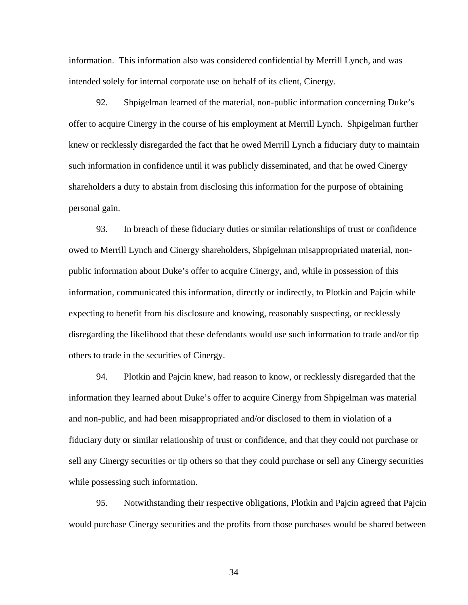information. This information also was considered confidential by Merrill Lynch, and was intended solely for internal corporate use on behalf of its client, Cinergy.

92. Shpigelman learned of the material, non-public information concerning Duke's offer to acquire Cinergy in the course of his employment at Merrill Lynch. Shpigelman further knew or recklessly disregarded the fact that he owed Merrill Lynch a fiduciary duty to maintain such information in confidence until it was publicly disseminated, and that he owed Cinergy shareholders a duty to abstain from disclosing this information for the purpose of obtaining personal gain.

93. In breach of these fiduciary duties or similar relationships of trust or confidence owed to Merrill Lynch and Cinergy shareholders, Shpigelman misappropriated material, nonpublic information about Duke's offer to acquire Cinergy, and, while in possession of this information, communicated this information, directly or indirectly, to Plotkin and Pajcin while expecting to benefit from his disclosure and knowing, reasonably suspecting, or recklessly disregarding the likelihood that these defendants would use such information to trade and/or tip others to trade in the securities of Cinergy.

94. Plotkin and Pajcin knew, had reason to know, or recklessly disregarded that the information they learned about Duke's offer to acquire Cinergy from Shpigelman was material and non-public, and had been misappropriated and/or disclosed to them in violation of a fiduciary duty or similar relationship of trust or confidence, and that they could not purchase or sell any Cinergy securities or tip others so that they could purchase or sell any Cinergy securities while possessing such information.

95. Notwithstanding their respective obligations, Plotkin and Pajcin agreed that Pajcin would purchase Cinergy securities and the profits from those purchases would be shared between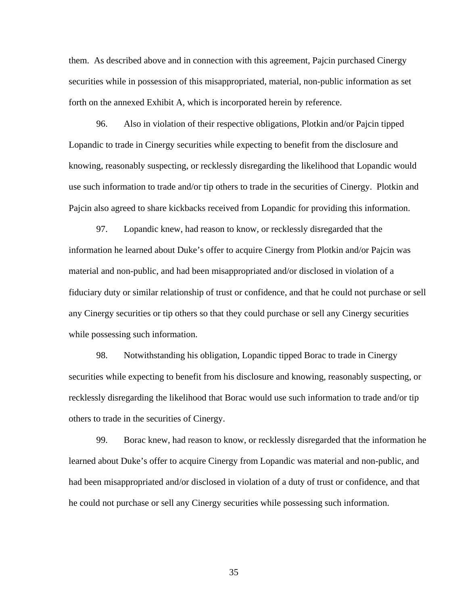them. As described above and in connection with this agreement, Pajcin purchased Cinergy securities while in possession of this misappropriated, material, non-public information as set forth on the annexed Exhibit A, which is incorporated herein by reference.

96. Also in violation of their respective obligations, Plotkin and/or Pajcin tipped Lopandic to trade in Cinergy securities while expecting to benefit from the disclosure and knowing, reasonably suspecting, or recklessly disregarding the likelihood that Lopandic would use such information to trade and/or tip others to trade in the securities of Cinergy. Plotkin and Pajcin also agreed to share kickbacks received from Lopandic for providing this information.

97. Lopandic knew, had reason to know, or recklessly disregarded that the information he learned about Duke's offer to acquire Cinergy from Plotkin and/or Pajcin was material and non-public, and had been misappropriated and/or disclosed in violation of a fiduciary duty or similar relationship of trust or confidence, and that he could not purchase or sell any Cinergy securities or tip others so that they could purchase or sell any Cinergy securities while possessing such information.

98. Notwithstanding his obligation, Lopandic tipped Borac to trade in Cinergy securities while expecting to benefit from his disclosure and knowing, reasonably suspecting, or recklessly disregarding the likelihood that Borac would use such information to trade and/or tip others to trade in the securities of Cinergy.

99. Borac knew, had reason to know, or recklessly disregarded that the information he learned about Duke's offer to acquire Cinergy from Lopandic was material and non-public, and had been misappropriated and/or disclosed in violation of a duty of trust or confidence, and that he could not purchase or sell any Cinergy securities while possessing such information.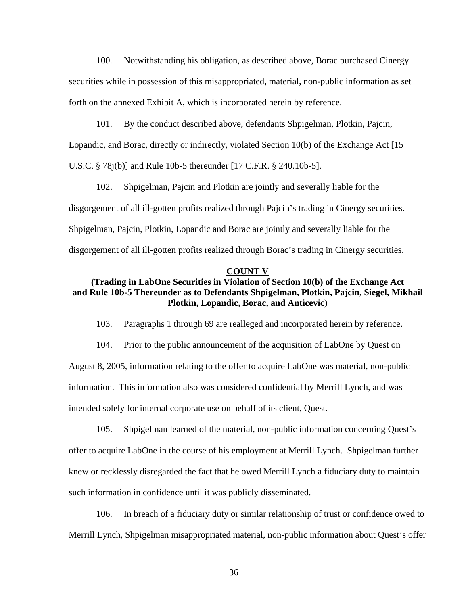100. Notwithstanding his obligation, as described above, Borac purchased Cinergy securities while in possession of this misappropriated, material, non-public information as set forth on the annexed Exhibit A, which is incorporated herein by reference.

101. By the conduct described above, defendants Shpigelman, Plotkin, Pajcin, Lopandic, and Borac, directly or indirectly, violated Section 10(b) of the Exchange Act [15

U.S.C. § 78j(b)] and Rule 10b-5 thereunder [17 C.F.R. § 240.10b-5].

102. Shpigelman, Pajcin and Plotkin are jointly and severally liable for the disgorgement of all ill-gotten profits realized through Pajcin's trading in Cinergy securities. Shpigelman, Pajcin, Plotkin, Lopandic and Borac are jointly and severally liable for the disgorgement of all ill-gotten profits realized through Borac's trading in Cinergy securities.

#### **COUNT V**

# **(Trading in LabOne Securities in Violation of Section 10(b) of the Exchange Act and Rule 10b-5 Thereunder as to Defendants Shpigelman, Plotkin, Pajcin, Siegel, Mikhail Plotkin, Lopandic, Borac, and Anticevic)**

103. Paragraphs 1 through 69 are realleged and incorporated herein by reference.

104. Prior to the public announcement of the acquisition of LabOne by Quest on August 8, 2005, information relating to the offer to acquire LabOne was material, non-public information. This information also was considered confidential by Merrill Lynch, and was intended solely for internal corporate use on behalf of its client, Quest.

105. Shpigelman learned of the material, non-public information concerning Quest's offer to acquire LabOne in the course of his employment at Merrill Lynch. Shpigelman further knew or recklessly disregarded the fact that he owed Merrill Lynch a fiduciary duty to maintain such information in confidence until it was publicly disseminated.

106. In breach of a fiduciary duty or similar relationship of trust or confidence owed to Merrill Lynch, Shpigelman misappropriated material, non-public information about Quest's offer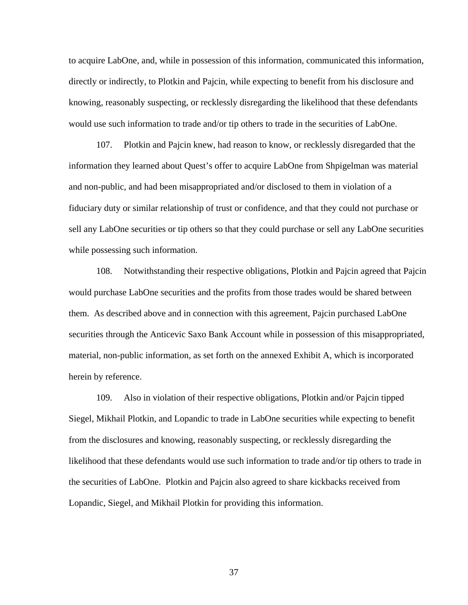to acquire LabOne, and, while in possession of this information, communicated this information, directly or indirectly, to Plotkin and Pajcin, while expecting to benefit from his disclosure and knowing, reasonably suspecting, or recklessly disregarding the likelihood that these defendants would use such information to trade and/or tip others to trade in the securities of LabOne.

107. Plotkin and Pajcin knew, had reason to know, or recklessly disregarded that the information they learned about Quest's offer to acquire LabOne from Shpigelman was material and non-public, and had been misappropriated and/or disclosed to them in violation of a fiduciary duty or similar relationship of trust or confidence, and that they could not purchase or sell any LabOne securities or tip others so that they could purchase or sell any LabOne securities while possessing such information.

108. Notwithstanding their respective obligations, Plotkin and Pajcin agreed that Pajcin would purchase LabOne securities and the profits from those trades would be shared between them. As described above and in connection with this agreement, Pajcin purchased LabOne securities through the Anticevic Saxo Bank Account while in possession of this misappropriated, material, non-public information, as set forth on the annexed Exhibit A, which is incorporated herein by reference.

109. Also in violation of their respective obligations, Plotkin and/or Pajcin tipped Siegel, Mikhail Plotkin, and Lopandic to trade in LabOne securities while expecting to benefit from the disclosures and knowing, reasonably suspecting, or recklessly disregarding the likelihood that these defendants would use such information to trade and/or tip others to trade in the securities of LabOne. Plotkin and Pajcin also agreed to share kickbacks received from Lopandic, Siegel, and Mikhail Plotkin for providing this information.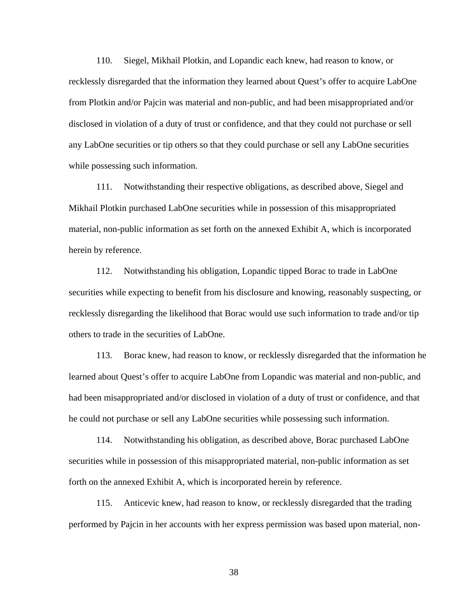110. Siegel, Mikhail Plotkin, and Lopandic each knew, had reason to know, or recklessly disregarded that the information they learned about Quest's offer to acquire LabOne from Plotkin and/or Pajcin was material and non-public, and had been misappropriated and/or disclosed in violation of a duty of trust or confidence, and that they could not purchase or sell any LabOne securities or tip others so that they could purchase or sell any LabOne securities while possessing such information.

111. Notwithstanding their respective obligations, as described above, Siegel and Mikhail Plotkin purchased LabOne securities while in possession of this misappropriated material, non-public information as set forth on the annexed Exhibit A, which is incorporated herein by reference.

112. Notwithstanding his obligation, Lopandic tipped Borac to trade in LabOne securities while expecting to benefit from his disclosure and knowing, reasonably suspecting, or recklessly disregarding the likelihood that Borac would use such information to trade and/or tip others to trade in the securities of LabOne.

113. Borac knew, had reason to know, or recklessly disregarded that the information he learned about Quest's offer to acquire LabOne from Lopandic was material and non-public, and had been misappropriated and/or disclosed in violation of a duty of trust or confidence, and that he could not purchase or sell any LabOne securities while possessing such information.

114. Notwithstanding his obligation, as described above, Borac purchased LabOne securities while in possession of this misappropriated material, non-public information as set forth on the annexed Exhibit A, which is incorporated herein by reference.

115. Anticevic knew, had reason to know, or recklessly disregarded that the trading performed by Pajcin in her accounts with her express permission was based upon material, non-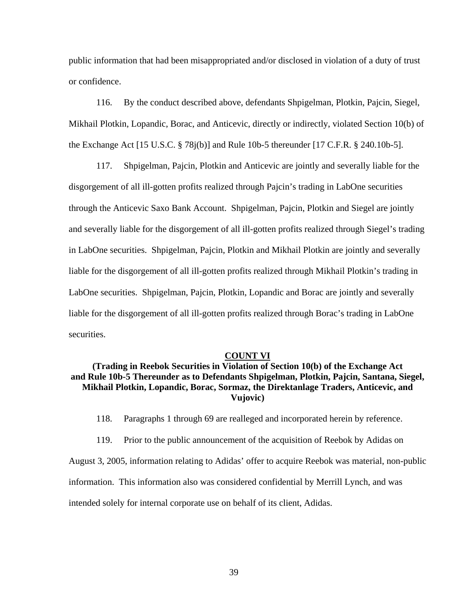public information that had been misappropriated and/or disclosed in violation of a duty of trust or confidence.

116. By the conduct described above, defendants Shpigelman, Plotkin, Pajcin, Siegel, Mikhail Plotkin, Lopandic, Borac, and Anticevic, directly or indirectly, violated Section 10(b) of the Exchange Act [15 U.S.C. § 78j(b)] and Rule 10b-5 thereunder [17 C.F.R. § 240.10b-5].

117. Shpigelman, Pajcin, Plotkin and Anticevic are jointly and severally liable for the disgorgement of all ill-gotten profits realized through Pajcin's trading in LabOne securities through the Anticevic Saxo Bank Account. Shpigelman, Pajcin, Plotkin and Siegel are jointly and severally liable for the disgorgement of all ill-gotten profits realized through Siegel's trading in LabOne securities. Shpigelman, Pajcin, Plotkin and Mikhail Plotkin are jointly and severally liable for the disgorgement of all ill-gotten profits realized through Mikhail Plotkin's trading in LabOne securities. Shpigelman, Pajcin, Plotkin, Lopandic and Borac are jointly and severally liable for the disgorgement of all ill-gotten profits realized through Borac's trading in LabOne securities.

#### **COUNT VI**

# **(Trading in Reebok Securities in Violation of Section 10(b) of the Exchange Act and Rule 10b-5 Thereunder as to Defendants Shpigelman, Plotkin, Pajcin, Santana, Siegel, Mikhail Plotkin, Lopandic, Borac, Sormaz, the Direktanlage Traders, Anticevic, and Vujovic)**

118. Paragraphs 1 through 69 are realleged and incorporated herein by reference.

119. Prior to the public announcement of the acquisition of Reebok by Adidas on

August 3, 2005, information relating to Adidas' offer to acquire Reebok was material, non-public information. This information also was considered confidential by Merrill Lynch, and was intended solely for internal corporate use on behalf of its client, Adidas.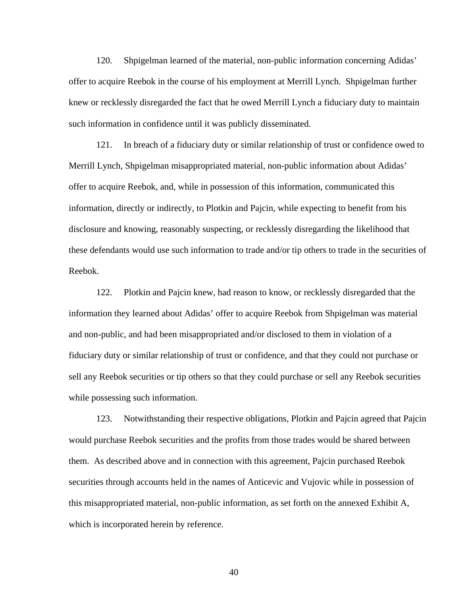120. Shpigelman learned of the material, non-public information concerning Adidas' offer to acquire Reebok in the course of his employment at Merrill Lynch. Shpigelman further knew or recklessly disregarded the fact that he owed Merrill Lynch a fiduciary duty to maintain such information in confidence until it was publicly disseminated.

121. In breach of a fiduciary duty or similar relationship of trust or confidence owed to Merrill Lynch, Shpigelman misappropriated material, non-public information about Adidas' offer to acquire Reebok, and, while in possession of this information, communicated this information, directly or indirectly, to Plotkin and Pajcin, while expecting to benefit from his disclosure and knowing, reasonably suspecting, or recklessly disregarding the likelihood that these defendants would use such information to trade and/or tip others to trade in the securities of Reebok.

122. Plotkin and Pajcin knew, had reason to know, or recklessly disregarded that the information they learned about Adidas' offer to acquire Reebok from Shpigelman was material and non-public, and had been misappropriated and/or disclosed to them in violation of a fiduciary duty or similar relationship of trust or confidence, and that they could not purchase or sell any Reebok securities or tip others so that they could purchase or sell any Reebok securities while possessing such information.

123. Notwithstanding their respective obligations, Plotkin and Pajcin agreed that Pajcin would purchase Reebok securities and the profits from those trades would be shared between them. As described above and in connection with this agreement, Pajcin purchased Reebok securities through accounts held in the names of Anticevic and Vujovic while in possession of this misappropriated material, non-public information, as set forth on the annexed Exhibit A, which is incorporated herein by reference.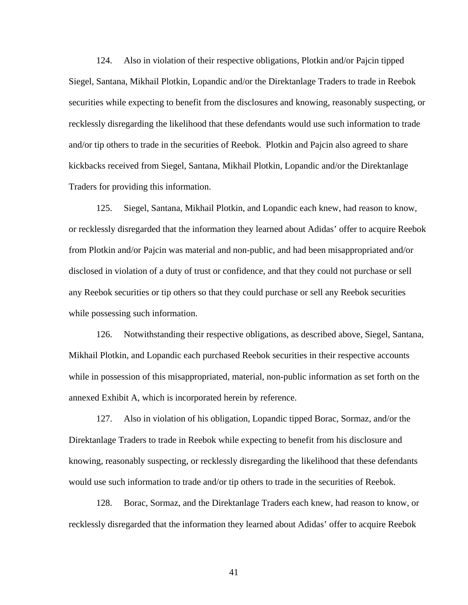124. Also in violation of their respective obligations, Plotkin and/or Pajcin tipped Siegel, Santana, Mikhail Plotkin, Lopandic and/or the Direktanlage Traders to trade in Reebok securities while expecting to benefit from the disclosures and knowing, reasonably suspecting, or recklessly disregarding the likelihood that these defendants would use such information to trade and/or tip others to trade in the securities of Reebok. Plotkin and Pajcin also agreed to share kickbacks received from Siegel, Santana, Mikhail Plotkin, Lopandic and/or the Direktanlage Traders for providing this information.

125. Siegel, Santana, Mikhail Plotkin, and Lopandic each knew, had reason to know, or recklessly disregarded that the information they learned about Adidas' offer to acquire Reebok from Plotkin and/or Pajcin was material and non-public, and had been misappropriated and/or disclosed in violation of a duty of trust or confidence, and that they could not purchase or sell any Reebok securities or tip others so that they could purchase or sell any Reebok securities while possessing such information.

126. Notwithstanding their respective obligations, as described above, Siegel, Santana, Mikhail Plotkin, and Lopandic each purchased Reebok securities in their respective accounts while in possession of this misappropriated, material, non-public information as set forth on the annexed Exhibit A, which is incorporated herein by reference.

127. Also in violation of his obligation, Lopandic tipped Borac, Sormaz, and/or the Direktanlage Traders to trade in Reebok while expecting to benefit from his disclosure and knowing, reasonably suspecting, or recklessly disregarding the likelihood that these defendants would use such information to trade and/or tip others to trade in the securities of Reebok.

128. Borac, Sormaz, and the Direktanlage Traders each knew, had reason to know, or recklessly disregarded that the information they learned about Adidas' offer to acquire Reebok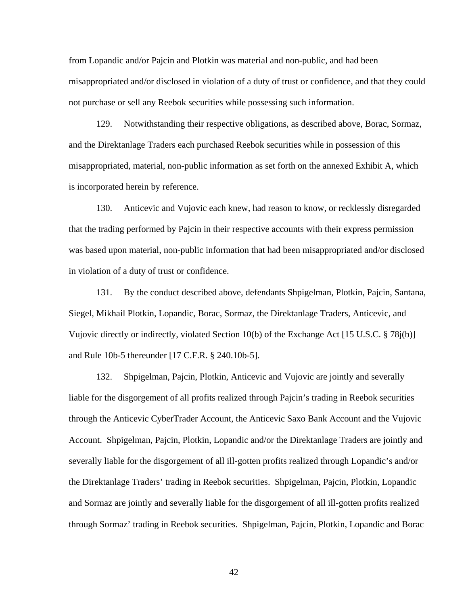from Lopandic and/or Pajcin and Plotkin was material and non-public, and had been misappropriated and/or disclosed in violation of a duty of trust or confidence, and that they could not purchase or sell any Reebok securities while possessing such information.

129. Notwithstanding their respective obligations, as described above, Borac, Sormaz, and the Direktanlage Traders each purchased Reebok securities while in possession of this misappropriated, material, non-public information as set forth on the annexed Exhibit A, which is incorporated herein by reference.

130. Anticevic and Vujovic each knew, had reason to know, or recklessly disregarded that the trading performed by Pajcin in their respective accounts with their express permission was based upon material, non-public information that had been misappropriated and/or disclosed in violation of a duty of trust or confidence.

131. By the conduct described above, defendants Shpigelman, Plotkin, Pajcin, Santana, Siegel, Mikhail Plotkin, Lopandic, Borac, Sormaz, the Direktanlage Traders, Anticevic, and Vujovic directly or indirectly, violated Section 10(b) of the Exchange Act [15 U.S.C. § 78j(b)] and Rule 10b-5 thereunder [17 C.F.R. § 240.10b-5].

132. Shpigelman, Pajcin, Plotkin, Anticevic and Vujovic are jointly and severally liable for the disgorgement of all profits realized through Pajcin's trading in Reebok securities through the Anticevic CyberTrader Account, the Anticevic Saxo Bank Account and the Vujovic Account. Shpigelman, Pajcin, Plotkin, Lopandic and/or the Direktanlage Traders are jointly and severally liable for the disgorgement of all ill-gotten profits realized through Lopandic's and/or the Direktanlage Traders' trading in Reebok securities. Shpigelman, Pajcin, Plotkin, Lopandic and Sormaz are jointly and severally liable for the disgorgement of all ill-gotten profits realized through Sormaz' trading in Reebok securities. Shpigelman, Pajcin, Plotkin, Lopandic and Borac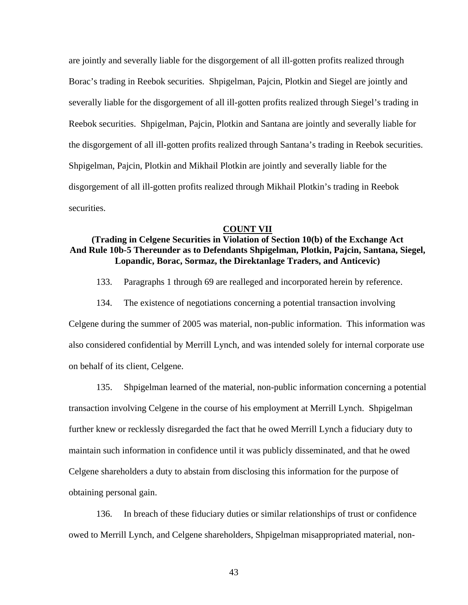are jointly and severally liable for the disgorgement of all ill-gotten profits realized through Borac's trading in Reebok securities. Shpigelman, Pajcin, Plotkin and Siegel are jointly and severally liable for the disgorgement of all ill-gotten profits realized through Siegel's trading in Reebok securities. Shpigelman, Pajcin, Plotkin and Santana are jointly and severally liable for the disgorgement of all ill-gotten profits realized through Santana's trading in Reebok securities. Shpigelman, Pajcin, Plotkin and Mikhail Plotkin are jointly and severally liable for the disgorgement of all ill-gotten profits realized through Mikhail Plotkin's trading in Reebok securities.

#### **COUNT VII**

# **(Trading in Celgene Securities in Violation of Section 10(b) of the Exchange Act And Rule 10b-5 Thereunder as to Defendants Shpigelman, Plotkin, Pajcin, Santana, Siegel, Lopandic, Borac, Sormaz, the Direktanlage Traders, and Anticevic)**

- 133. Paragraphs 1 through 69 are realleged and incorporated herein by reference.
- 134. The existence of negotiations concerning a potential transaction involving

Celgene during the summer of 2005 was material, non-public information. This information was also considered confidential by Merrill Lynch, and was intended solely for internal corporate use on behalf of its client, Celgene.

135. Shpigelman learned of the material, non-public information concerning a potential transaction involving Celgene in the course of his employment at Merrill Lynch. Shpigelman further knew or recklessly disregarded the fact that he owed Merrill Lynch a fiduciary duty to maintain such information in confidence until it was publicly disseminated, and that he owed Celgene shareholders a duty to abstain from disclosing this information for the purpose of obtaining personal gain.

136. In breach of these fiduciary duties or similar relationships of trust or confidence owed to Merrill Lynch, and Celgene shareholders, Shpigelman misappropriated material, non-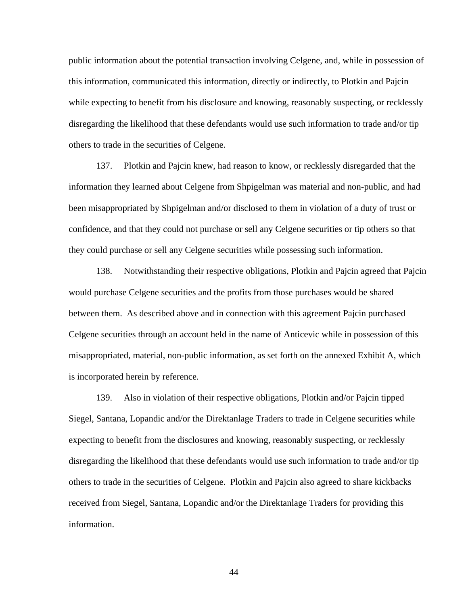public information about the potential transaction involving Celgene, and, while in possession of this information, communicated this information, directly or indirectly, to Plotkin and Pajcin while expecting to benefit from his disclosure and knowing, reasonably suspecting, or recklessly disregarding the likelihood that these defendants would use such information to trade and/or tip others to trade in the securities of Celgene.

137. Plotkin and Pajcin knew, had reason to know, or recklessly disregarded that the information they learned about Celgene from Shpigelman was material and non-public, and had been misappropriated by Shpigelman and/or disclosed to them in violation of a duty of trust or confidence, and that they could not purchase or sell any Celgene securities or tip others so that they could purchase or sell any Celgene securities while possessing such information.

138. Notwithstanding their respective obligations, Plotkin and Pajcin agreed that Pajcin would purchase Celgene securities and the profits from those purchases would be shared between them. As described above and in connection with this agreement Pajcin purchased Celgene securities through an account held in the name of Anticevic while in possession of this misappropriated, material, non-public information, as set forth on the annexed Exhibit A, which is incorporated herein by reference.

139. Also in violation of their respective obligations, Plotkin and/or Pajcin tipped Siegel, Santana, Lopandic and/or the Direktanlage Traders to trade in Celgene securities while expecting to benefit from the disclosures and knowing, reasonably suspecting, or recklessly disregarding the likelihood that these defendants would use such information to trade and/or tip others to trade in the securities of Celgene. Plotkin and Pajcin also agreed to share kickbacks received from Siegel, Santana, Lopandic and/or the Direktanlage Traders for providing this information.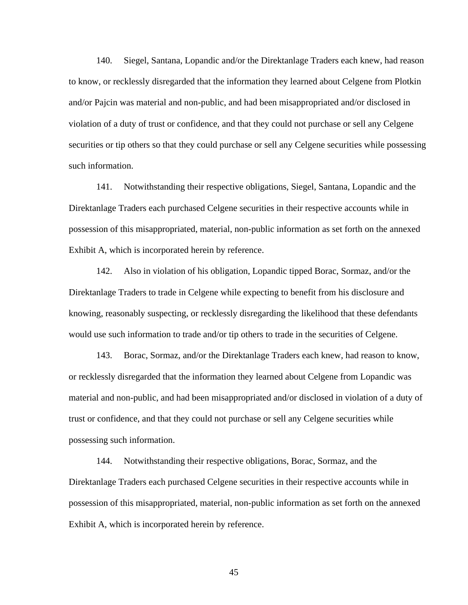140. Siegel, Santana, Lopandic and/or the Direktanlage Traders each knew, had reason to know, or recklessly disregarded that the information they learned about Celgene from Plotkin and/or Pajcin was material and non-public, and had been misappropriated and/or disclosed in violation of a duty of trust or confidence, and that they could not purchase or sell any Celgene securities or tip others so that they could purchase or sell any Celgene securities while possessing such information.

141. Notwithstanding their respective obligations, Siegel, Santana, Lopandic and the Direktanlage Traders each purchased Celgene securities in their respective accounts while in possession of this misappropriated, material, non-public information as set forth on the annexed Exhibit A, which is incorporated herein by reference.

142. Also in violation of his obligation, Lopandic tipped Borac, Sormaz, and/or the Direktanlage Traders to trade in Celgene while expecting to benefit from his disclosure and knowing, reasonably suspecting, or recklessly disregarding the likelihood that these defendants would use such information to trade and/or tip others to trade in the securities of Celgene.

143. Borac, Sormaz, and/or the Direktanlage Traders each knew, had reason to know, or recklessly disregarded that the information they learned about Celgene from Lopandic was material and non-public, and had been misappropriated and/or disclosed in violation of a duty of trust or confidence, and that they could not purchase or sell any Celgene securities while possessing such information.

144. Notwithstanding their respective obligations, Borac, Sormaz, and the Direktanlage Traders each purchased Celgene securities in their respective accounts while in possession of this misappropriated, material, non-public information as set forth on the annexed Exhibit A, which is incorporated herein by reference.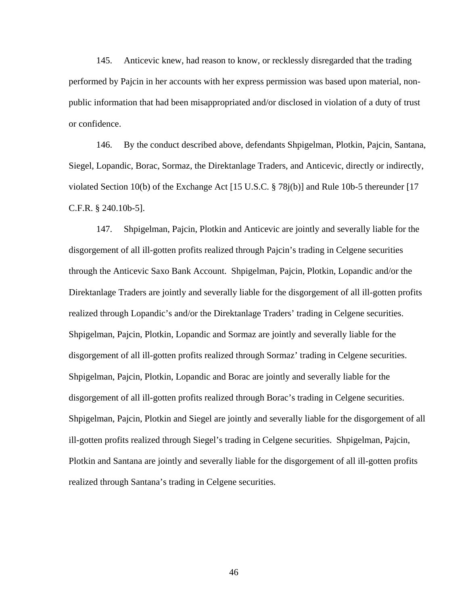145. Anticevic knew, had reason to know, or recklessly disregarded that the trading performed by Pajcin in her accounts with her express permission was based upon material, nonpublic information that had been misappropriated and/or disclosed in violation of a duty of trust or confidence.

146. By the conduct described above, defendants Shpigelman, Plotkin, Pajcin, Santana, Siegel, Lopandic, Borac, Sormaz, the Direktanlage Traders, and Anticevic, directly or indirectly, violated Section 10(b) of the Exchange Act [15 U.S.C. § 78j(b)] and Rule 10b-5 thereunder [17 C.F.R. § 240.10b-5].

147. Shpigelman, Pajcin, Plotkin and Anticevic are jointly and severally liable for the disgorgement of all ill-gotten profits realized through Pajcin's trading in Celgene securities through the Anticevic Saxo Bank Account. Shpigelman, Pajcin, Plotkin, Lopandic and/or the Direktanlage Traders are jointly and severally liable for the disgorgement of all ill-gotten profits realized through Lopandic's and/or the Direktanlage Traders' trading in Celgene securities. Shpigelman, Pajcin, Plotkin, Lopandic and Sormaz are jointly and severally liable for the disgorgement of all ill-gotten profits realized through Sormaz' trading in Celgene securities. Shpigelman, Pajcin, Plotkin, Lopandic and Borac are jointly and severally liable for the disgorgement of all ill-gotten profits realized through Borac's trading in Celgene securities. Shpigelman, Pajcin, Plotkin and Siegel are jointly and severally liable for the disgorgement of all ill-gotten profits realized through Siegel's trading in Celgene securities. Shpigelman, Pajcin, Plotkin and Santana are jointly and severally liable for the disgorgement of all ill-gotten profits realized through Santana's trading in Celgene securities.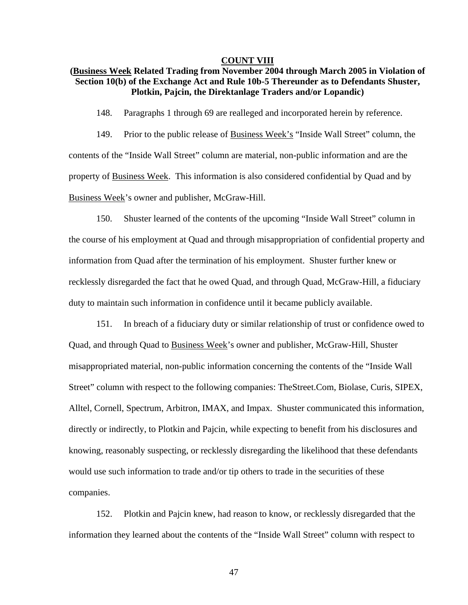## **COUNT VIII**

# **(Business Week Related Trading from November 2004 through March 2005 in Violation of Section 10(b) of the Exchange Act and Rule 10b-5 Thereunder as to Defendants Shuster, Plotkin, Pajcin, the Direktanlage Traders and/or Lopandic)**

148. Paragraphs 1 through 69 are realleged and incorporated herein by reference.

149. Prior to the public release of Business Week's "Inside Wall Street" column, the contents of the "Inside Wall Street" column are material, non-public information and are the property of Business Week. This information is also considered confidential by Quad and by Business Week's owner and publisher, McGraw-Hill.

150. Shuster learned of the contents of the upcoming "Inside Wall Street" column in the course of his employment at Quad and through misappropriation of confidential property and information from Quad after the termination of his employment. Shuster further knew or recklessly disregarded the fact that he owed Quad, and through Quad, McGraw-Hill, a fiduciary duty to maintain such information in confidence until it became publicly available.

151. In breach of a fiduciary duty or similar relationship of trust or confidence owed to Quad, and through Quad to Business Week's owner and publisher, McGraw-Hill, Shuster misappropriated material, non-public information concerning the contents of the "Inside Wall Street" column with respect to the following companies: TheStreet.Com, Biolase, Curis, SIPEX, Alltel, Cornell, Spectrum, Arbitron, IMAX, and Impax. Shuster communicated this information, directly or indirectly, to Plotkin and Pajcin, while expecting to benefit from his disclosures and knowing, reasonably suspecting, or recklessly disregarding the likelihood that these defendants would use such information to trade and/or tip others to trade in the securities of these companies.

152. Plotkin and Pajcin knew, had reason to know, or recklessly disregarded that the information they learned about the contents of the "Inside Wall Street" column with respect to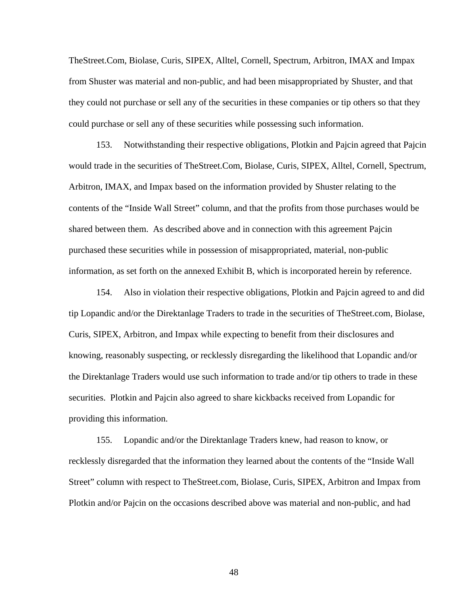TheStreet.Com, Biolase, Curis, SIPEX, Alltel, Cornell, Spectrum, Arbitron, IMAX and Impax from Shuster was material and non-public, and had been misappropriated by Shuster, and that they could not purchase or sell any of the securities in these companies or tip others so that they could purchase or sell any of these securities while possessing such information.

153. Notwithstanding their respective obligations, Plotkin and Pajcin agreed that Pajcin would trade in the securities of TheStreet.Com, Biolase, Curis, SIPEX, Alltel, Cornell, Spectrum, Arbitron, IMAX, and Impax based on the information provided by Shuster relating to the contents of the "Inside Wall Street" column, and that the profits from those purchases would be shared between them. As described above and in connection with this agreement Pajcin purchased these securities while in possession of misappropriated, material, non-public information, as set forth on the annexed Exhibit B, which is incorporated herein by reference.

154. Also in violation their respective obligations, Plotkin and Pajcin agreed to and did tip Lopandic and/or the Direktanlage Traders to trade in the securities of TheStreet.com, Biolase, Curis, SIPEX, Arbitron, and Impax while expecting to benefit from their disclosures and knowing, reasonably suspecting, or recklessly disregarding the likelihood that Lopandic and/or the Direktanlage Traders would use such information to trade and/or tip others to trade in these securities. Plotkin and Pajcin also agreed to share kickbacks received from Lopandic for providing this information.

155. Lopandic and/or the Direktanlage Traders knew, had reason to know, or recklessly disregarded that the information they learned about the contents of the "Inside Wall Street" column with respect to TheStreet.com, Biolase, Curis, SIPEX, Arbitron and Impax from Plotkin and/or Pajcin on the occasions described above was material and non-public, and had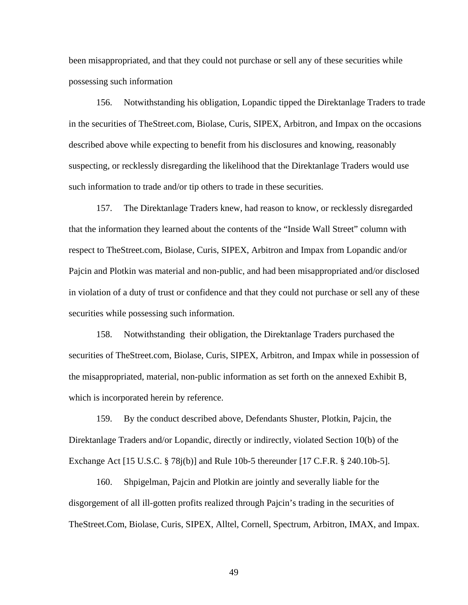been misappropriated, and that they could not purchase or sell any of these securities while possessing such information

156. Notwithstanding his obligation, Lopandic tipped the Direktanlage Traders to trade in the securities of TheStreet.com, Biolase, Curis, SIPEX, Arbitron, and Impax on the occasions described above while expecting to benefit from his disclosures and knowing, reasonably suspecting, or recklessly disregarding the likelihood that the Direktanlage Traders would use such information to trade and/or tip others to trade in these securities.

157. The Direktanlage Traders knew, had reason to know, or recklessly disregarded that the information they learned about the contents of the "Inside Wall Street" column with respect to TheStreet.com, Biolase, Curis, SIPEX, Arbitron and Impax from Lopandic and/or Pajcin and Plotkin was material and non-public, and had been misappropriated and/or disclosed in violation of a duty of trust or confidence and that they could not purchase or sell any of these securities while possessing such information.

158. Notwithstanding their obligation, the Direktanlage Traders purchased the securities of TheStreet.com, Biolase, Curis, SIPEX, Arbitron, and Impax while in possession of the misappropriated, material, non-public information as set forth on the annexed Exhibit B, which is incorporated herein by reference.

159. By the conduct described above, Defendants Shuster, Plotkin, Pajcin, the Direktanlage Traders and/or Lopandic, directly or indirectly, violated Section 10(b) of the Exchange Act [15 U.S.C. § 78j(b)] and Rule 10b-5 thereunder [17 C.F.R. § 240.10b-5].

160. Shpigelman, Pajcin and Plotkin are jointly and severally liable for the disgorgement of all ill-gotten profits realized through Pajcin's trading in the securities of TheStreet.Com, Biolase, Curis, SIPEX, Alltel, Cornell, Spectrum, Arbitron, IMAX, and Impax.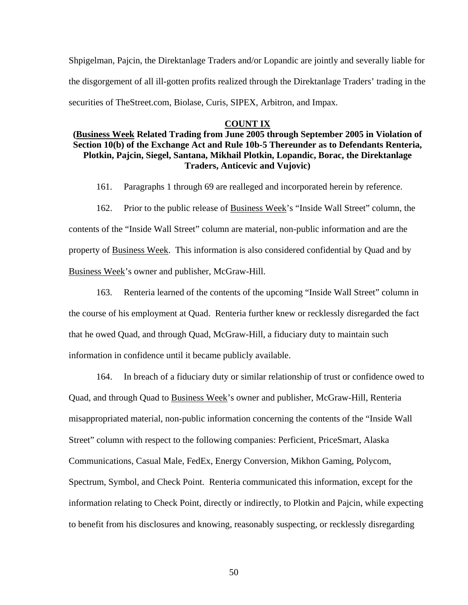Shpigelman, Pajcin, the Direktanlage Traders and/or Lopandic are jointly and severally liable for the disgorgement of all ill-gotten profits realized through the Direktanlage Traders' trading in the securities of TheStreet.com, Biolase, Curis, SIPEX, Arbitron, and Impax.

## **COUNT IX**

# **(Business Week Related Trading from June 2005 through September 2005 in Violation of Section 10(b) of the Exchange Act and Rule 10b-5 Thereunder as to Defendants Renteria, Plotkin, Pajcin, Siegel, Santana, Mikhail Plotkin, Lopandic, Borac, the Direktanlage Traders, Anticevic and Vujovic)**

161. Paragraphs 1 through 69 are realleged and incorporated herein by reference.

162. Prior to the public release of Business Week's "Inside Wall Street" column, the contents of the "Inside Wall Street" column are material, non-public information and are the property of Business Week. This information is also considered confidential by Quad and by Business Week's owner and publisher, McGraw-Hill.

163. Renteria learned of the contents of the upcoming "Inside Wall Street" column in the course of his employment at Quad. Renteria further knew or recklessly disregarded the fact that he owed Quad, and through Quad, McGraw-Hill, a fiduciary duty to maintain such information in confidence until it became publicly available.

164. In breach of a fiduciary duty or similar relationship of trust or confidence owed to Quad, and through Quad to Business Week's owner and publisher, McGraw-Hill, Renteria misappropriated material, non-public information concerning the contents of the "Inside Wall Street" column with respect to the following companies: Perficient, PriceSmart, Alaska Communications, Casual Male, FedEx, Energy Conversion, Mikhon Gaming, Polycom, Spectrum, Symbol, and Check Point. Renteria communicated this information, except for the information relating to Check Point, directly or indirectly, to Plotkin and Pajcin, while expecting to benefit from his disclosures and knowing, reasonably suspecting, or recklessly disregarding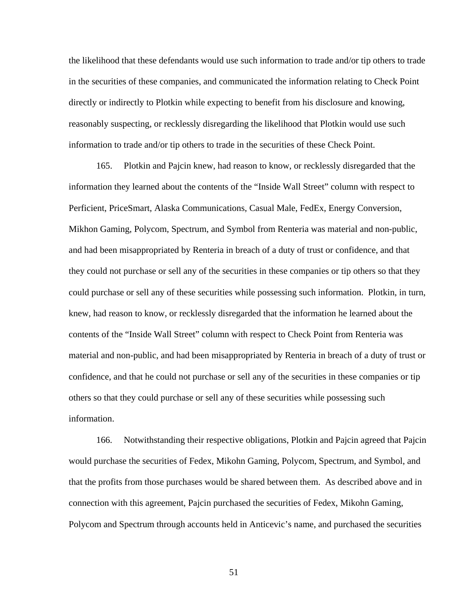the likelihood that these defendants would use such information to trade and/or tip others to trade in the securities of these companies, and communicated the information relating to Check Point directly or indirectly to Plotkin while expecting to benefit from his disclosure and knowing, reasonably suspecting, or recklessly disregarding the likelihood that Plotkin would use such information to trade and/or tip others to trade in the securities of these Check Point.

165. Plotkin and Pajcin knew, had reason to know, or recklessly disregarded that the information they learned about the contents of the "Inside Wall Street" column with respect to Perficient, PriceSmart, Alaska Communications, Casual Male, FedEx, Energy Conversion, Mikhon Gaming, Polycom, Spectrum, and Symbol from Renteria was material and non-public, and had been misappropriated by Renteria in breach of a duty of trust or confidence, and that they could not purchase or sell any of the securities in these companies or tip others so that they could purchase or sell any of these securities while possessing such information. Plotkin, in turn, knew, had reason to know, or recklessly disregarded that the information he learned about the contents of the "Inside Wall Street" column with respect to Check Point from Renteria was material and non-public, and had been misappropriated by Renteria in breach of a duty of trust or confidence, and that he could not purchase or sell any of the securities in these companies or tip others so that they could purchase or sell any of these securities while possessing such information.

166. Notwithstanding their respective obligations, Plotkin and Pajcin agreed that Pajcin would purchase the securities of Fedex, Mikohn Gaming, Polycom, Spectrum, and Symbol, and that the profits from those purchases would be shared between them. As described above and in connection with this agreement, Pajcin purchased the securities of Fedex, Mikohn Gaming, Polycom and Spectrum through accounts held in Anticevic's name, and purchased the securities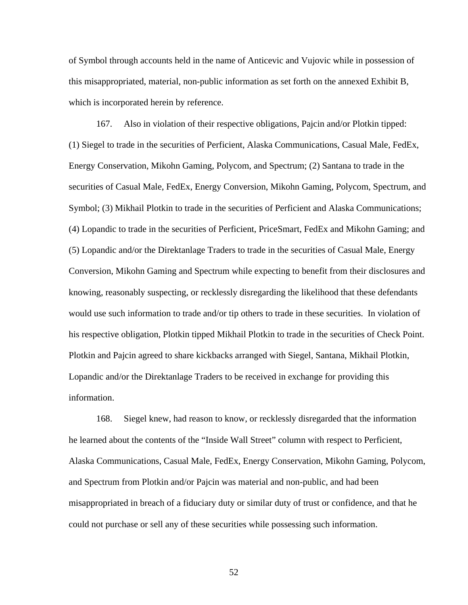of Symbol through accounts held in the name of Anticevic and Vujovic while in possession of this misappropriated, material, non-public information as set forth on the annexed Exhibit B, which is incorporated herein by reference.

167. Also in violation of their respective obligations, Pajcin and/or Plotkin tipped: (1) Siegel to trade in the securities of Perficient, Alaska Communications, Casual Male, FedEx, Energy Conservation, Mikohn Gaming, Polycom, and Spectrum; (2) Santana to trade in the securities of Casual Male, FedEx, Energy Conversion, Mikohn Gaming, Polycom, Spectrum, and Symbol; (3) Mikhail Plotkin to trade in the securities of Perficient and Alaska Communications; (4) Lopandic to trade in the securities of Perficient, PriceSmart, FedEx and Mikohn Gaming; and (5) Lopandic and/or the Direktanlage Traders to trade in the securities of Casual Male, Energy Conversion, Mikohn Gaming and Spectrum while expecting to benefit from their disclosures and knowing, reasonably suspecting, or recklessly disregarding the likelihood that these defendants would use such information to trade and/or tip others to trade in these securities. In violation of his respective obligation, Plotkin tipped Mikhail Plotkin to trade in the securities of Check Point. Plotkin and Pajcin agreed to share kickbacks arranged with Siegel, Santana, Mikhail Plotkin, Lopandic and/or the Direktanlage Traders to be received in exchange for providing this information.

168. Siegel knew, had reason to know, or recklessly disregarded that the information he learned about the contents of the "Inside Wall Street" column with respect to Perficient, Alaska Communications, Casual Male, FedEx, Energy Conservation, Mikohn Gaming, Polycom, and Spectrum from Plotkin and/or Pajcin was material and non-public, and had been misappropriated in breach of a fiduciary duty or similar duty of trust or confidence, and that he could not purchase or sell any of these securities while possessing such information.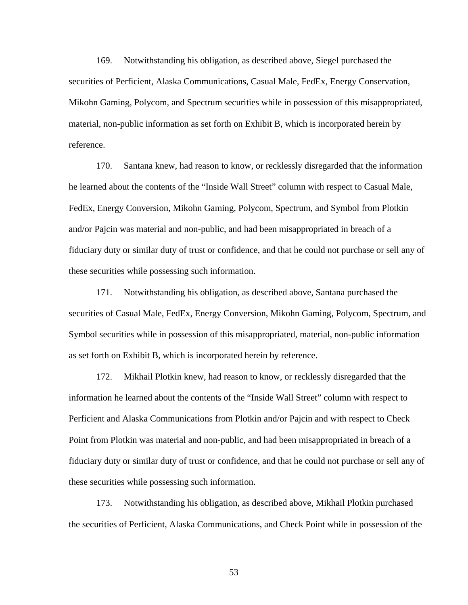169. Notwithstanding his obligation, as described above, Siegel purchased the securities of Perficient, Alaska Communications, Casual Male, FedEx, Energy Conservation, Mikohn Gaming, Polycom, and Spectrum securities while in possession of this misappropriated, material, non-public information as set forth on Exhibit B, which is incorporated herein by reference.

170. Santana knew, had reason to know, or recklessly disregarded that the information he learned about the contents of the "Inside Wall Street" column with respect to Casual Male, FedEx, Energy Conversion, Mikohn Gaming, Polycom, Spectrum, and Symbol from Plotkin and/or Pajcin was material and non-public, and had been misappropriated in breach of a fiduciary duty or similar duty of trust or confidence, and that he could not purchase or sell any of these securities while possessing such information.

171. Notwithstanding his obligation, as described above, Santana purchased the securities of Casual Male, FedEx, Energy Conversion, Mikohn Gaming, Polycom, Spectrum, and Symbol securities while in possession of this misappropriated, material, non-public information as set forth on Exhibit B, which is incorporated herein by reference.

172. Mikhail Plotkin knew, had reason to know, or recklessly disregarded that the information he learned about the contents of the "Inside Wall Street" column with respect to Perficient and Alaska Communications from Plotkin and/or Pajcin and with respect to Check Point from Plotkin was material and non-public, and had been misappropriated in breach of a fiduciary duty or similar duty of trust or confidence, and that he could not purchase or sell any of these securities while possessing such information.

173. Notwithstanding his obligation, as described above, Mikhail Plotkin purchased the securities of Perficient, Alaska Communications, and Check Point while in possession of the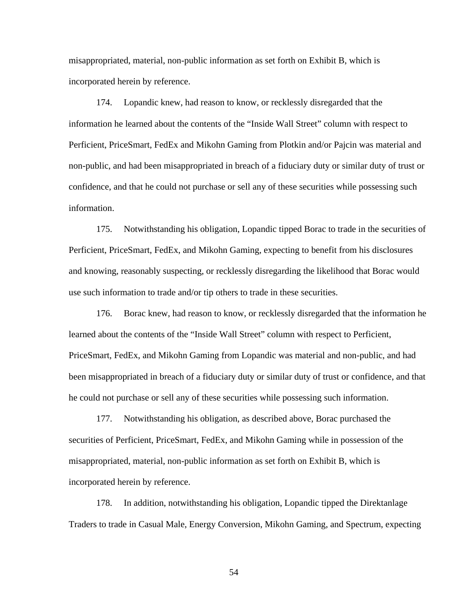misappropriated, material, non-public information as set forth on Exhibit B, which is incorporated herein by reference.

174. Lopandic knew, had reason to know, or recklessly disregarded that the information he learned about the contents of the "Inside Wall Street" column with respect to Perficient, PriceSmart, FedEx and Mikohn Gaming from Plotkin and/or Pajcin was material and non-public, and had been misappropriated in breach of a fiduciary duty or similar duty of trust or confidence, and that he could not purchase or sell any of these securities while possessing such information.

175. Notwithstanding his obligation, Lopandic tipped Borac to trade in the securities of Perficient, PriceSmart, FedEx, and Mikohn Gaming, expecting to benefit from his disclosures and knowing, reasonably suspecting, or recklessly disregarding the likelihood that Borac would use such information to trade and/or tip others to trade in these securities.

176. Borac knew, had reason to know, or recklessly disregarded that the information he learned about the contents of the "Inside Wall Street" column with respect to Perficient, PriceSmart, FedEx, and Mikohn Gaming from Lopandic was material and non-public, and had been misappropriated in breach of a fiduciary duty or similar duty of trust or confidence, and that he could not purchase or sell any of these securities while possessing such information.

177. Notwithstanding his obligation, as described above, Borac purchased the securities of Perficient, PriceSmart, FedEx, and Mikohn Gaming while in possession of the misappropriated, material, non-public information as set forth on Exhibit B, which is incorporated herein by reference.

178. In addition, notwithstanding his obligation, Lopandic tipped the Direktanlage Traders to trade in Casual Male, Energy Conversion, Mikohn Gaming, and Spectrum, expecting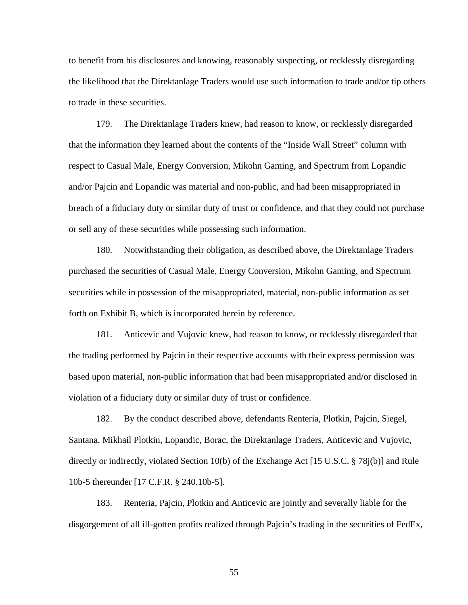to benefit from his disclosures and knowing, reasonably suspecting, or recklessly disregarding the likelihood that the Direktanlage Traders would use such information to trade and/or tip others to trade in these securities.

179. The Direktanlage Traders knew, had reason to know, or recklessly disregarded that the information they learned about the contents of the "Inside Wall Street" column with respect to Casual Male, Energy Conversion, Mikohn Gaming, and Spectrum from Lopandic and/or Pajcin and Lopandic was material and non-public, and had been misappropriated in breach of a fiduciary duty or similar duty of trust or confidence, and that they could not purchase or sell any of these securities while possessing such information.

180. Notwithstanding their obligation, as described above, the Direktanlage Traders purchased the securities of Casual Male, Energy Conversion, Mikohn Gaming, and Spectrum securities while in possession of the misappropriated, material, non-public information as set forth on Exhibit B, which is incorporated herein by reference.

181. Anticevic and Vujovic knew, had reason to know, or recklessly disregarded that the trading performed by Pajcin in their respective accounts with their express permission was based upon material, non-public information that had been misappropriated and/or disclosed in violation of a fiduciary duty or similar duty of trust or confidence.

182. By the conduct described above, defendants Renteria, Plotkin, Pajcin, Siegel, Santana, Mikhail Plotkin, Lopandic, Borac, the Direktanlage Traders, Anticevic and Vujovic, directly or indirectly, violated Section 10(b) of the Exchange Act [15 U.S.C. § 78j(b)] and Rule 10b-5 thereunder [17 C.F.R. § 240.10b-5].

183. Renteria, Pajcin, Plotkin and Anticevic are jointly and severally liable for the disgorgement of all ill-gotten profits realized through Pajcin's trading in the securities of FedEx,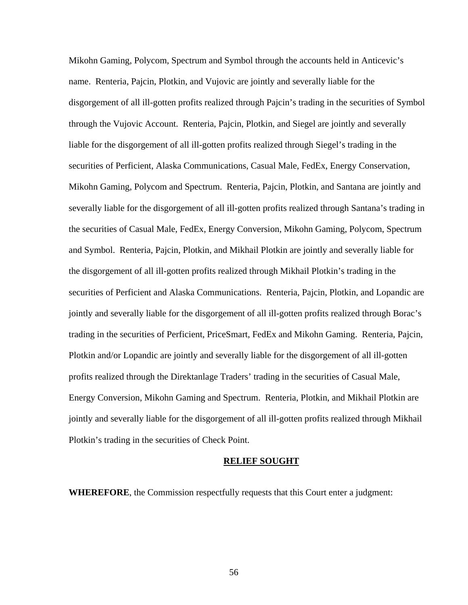Mikohn Gaming, Polycom, Spectrum and Symbol through the accounts held in Anticevic's name. Renteria, Pajcin, Plotkin, and Vujovic are jointly and severally liable for the disgorgement of all ill-gotten profits realized through Pajcin's trading in the securities of Symbol through the Vujovic Account. Renteria, Pajcin, Plotkin, and Siegel are jointly and severally liable for the disgorgement of all ill-gotten profits realized through Siegel's trading in the securities of Perficient, Alaska Communications, Casual Male, FedEx, Energy Conservation, Mikohn Gaming, Polycom and Spectrum. Renteria, Pajcin, Plotkin, and Santana are jointly and severally liable for the disgorgement of all ill-gotten profits realized through Santana's trading in the securities of Casual Male, FedEx, Energy Conversion, Mikohn Gaming, Polycom, Spectrum and Symbol. Renteria, Pajcin, Plotkin, and Mikhail Plotkin are jointly and severally liable for the disgorgement of all ill-gotten profits realized through Mikhail Plotkin's trading in the securities of Perficient and Alaska Communications. Renteria, Pajcin, Plotkin, and Lopandic are jointly and severally liable for the disgorgement of all ill-gotten profits realized through Borac's trading in the securities of Perficient, PriceSmart, FedEx and Mikohn Gaming. Renteria, Pajcin, Plotkin and/or Lopandic are jointly and severally liable for the disgorgement of all ill-gotten profits realized through the Direktanlage Traders' trading in the securities of Casual Male, Energy Conversion, Mikohn Gaming and Spectrum. Renteria, Plotkin, and Mikhail Plotkin are jointly and severally liable for the disgorgement of all ill-gotten profits realized through Mikhail Plotkin's trading in the securities of Check Point.

#### **RELIEF SOUGHT**

**WHEREFORE**, the Commission respectfully requests that this Court enter a judgment: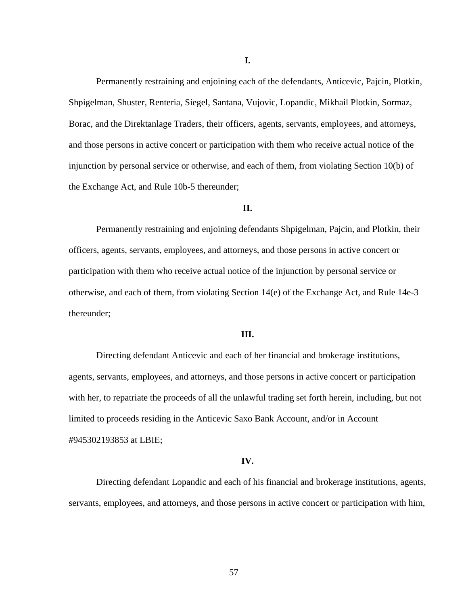Permanently restraining and enjoining each of the defendants, Anticevic, Pajcin, Plotkin, Shpigelman, Shuster, Renteria, Siegel, Santana, Vujovic, Lopandic, Mikhail Plotkin, Sormaz, Borac, and the Direktanlage Traders, their officers, agents, servants, employees, and attorneys, and those persons in active concert or participation with them who receive actual notice of the injunction by personal service or otherwise, and each of them, from violating Section 10(b) of the Exchange Act, and Rule 10b-5 thereunder;

## **II.**

 Permanently restraining and enjoining defendants Shpigelman, Pajcin, and Plotkin, their officers, agents, servants, employees, and attorneys, and those persons in active concert or participation with them who receive actual notice of the injunction by personal service or otherwise, and each of them, from violating Section 14(e) of the Exchange Act, and Rule 14e-3 thereunder;

## **III.**

Directing defendant Anticevic and each of her financial and brokerage institutions, agents, servants, employees, and attorneys, and those persons in active concert or participation with her, to repatriate the proceeds of all the unlawful trading set forth herein, including, but not limited to proceeds residing in the Anticevic Saxo Bank Account, and/or in Account #945302193853 at LBIE;

### **IV.**

Directing defendant Lopandic and each of his financial and brokerage institutions, agents, servants, employees, and attorneys, and those persons in active concert or participation with him,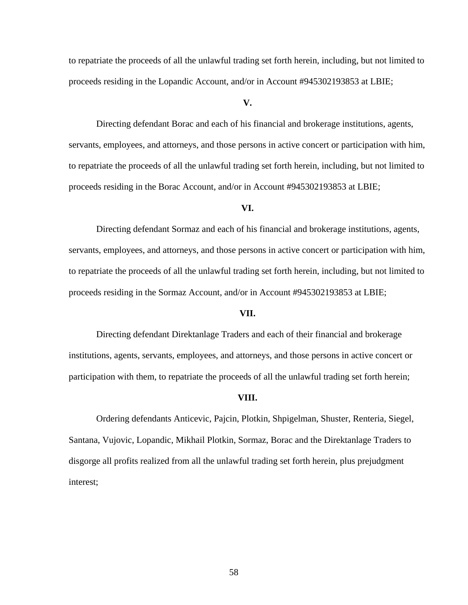to repatriate the proceeds of all the unlawful trading set forth herein, including, but not limited to proceeds residing in the Lopandic Account, and/or in Account #945302193853 at LBIE;

## **V.**

Directing defendant Borac and each of his financial and brokerage institutions, agents, servants, employees, and attorneys, and those persons in active concert or participation with him, to repatriate the proceeds of all the unlawful trading set forth herein, including, but not limited to proceeds residing in the Borac Account, and/or in Account #945302193853 at LBIE;

### **VI.**

Directing defendant Sormaz and each of his financial and brokerage institutions, agents, servants, employees, and attorneys, and those persons in active concert or participation with him, to repatriate the proceeds of all the unlawful trading set forth herein, including, but not limited to proceeds residing in the Sormaz Account, and/or in Account #945302193853 at LBIE;

### **VII.**

Directing defendant Direktanlage Traders and each of their financial and brokerage institutions, agents, servants, employees, and attorneys, and those persons in active concert or participation with them, to repatriate the proceeds of all the unlawful trading set forth herein;

#### **VIII.**

Ordering defendants Anticevic, Pajcin, Plotkin, Shpigelman, Shuster, Renteria, Siegel, Santana, Vujovic, Lopandic, Mikhail Plotkin, Sormaz, Borac and the Direktanlage Traders to disgorge all profits realized from all the unlawful trading set forth herein, plus prejudgment interest;